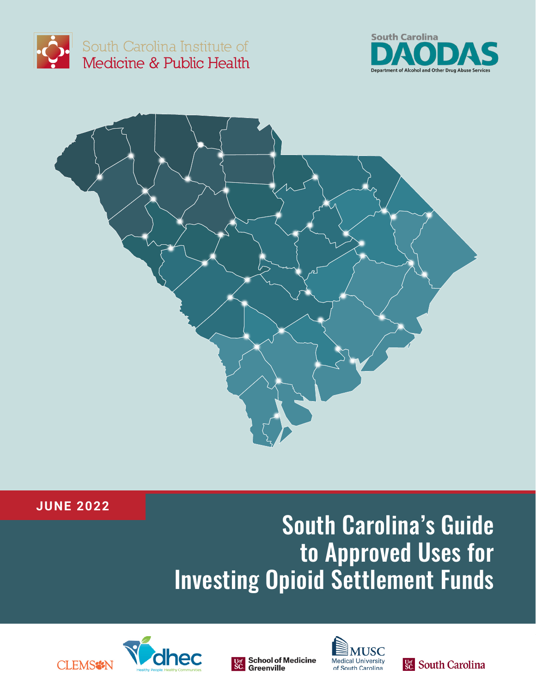

South Carolina Institute of Medicine & Public Health





## **JUNE 2022**

# South Carolina's Guide to Approved Uses for Investing Opioid Settlement Funds









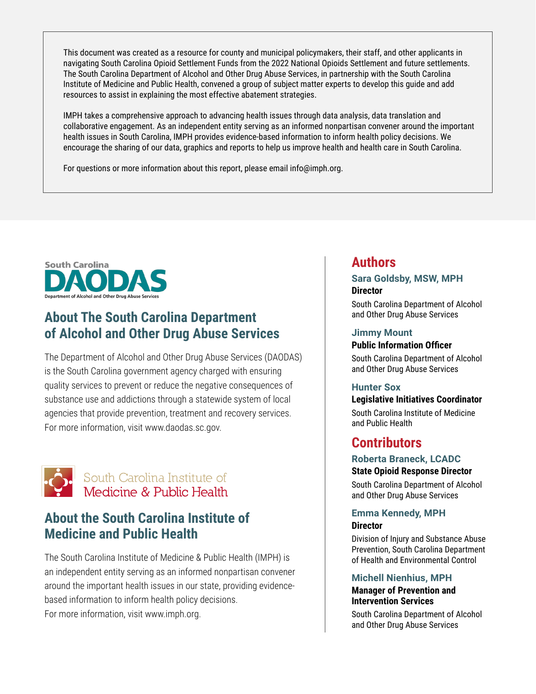This document was created as a resource for county and municipal policymakers, their staff, and other applicants in navigating South Carolina Opioid Settlement Funds from the 2022 National Opioids Settlement and future settlements. The South Carolina Department of Alcohol and Other Drug Abuse Services, in partnership with the South Carolina Institute of Medicine and Public Health, convened a group of subject matter experts to develop this guide and add resources to assist in explaining the most effective abatement strategies.

IMPH takes a comprehensive approach to advancing health issues through data analysis, data translation and collaborative engagement. As an independent entity serving as an informed nonpartisan convener around the important health issues in South Carolina, IMPH provides evidence-based information to inform health policy decisions. We encourage the sharing of our data, graphics and reports to help us improve health and health care in South Carolina.

For questions or more information about this report, please email info@imph.org.



# **About The South Carolina Department of Alcohol and Other Drug Abuse Services**

The Department of Alcohol and Other Drug Abuse Services (DAODAS) is the South Carolina government agency charged with ensuring quality services to prevent or reduce the negative consequences of substance use and addictions through a statewide system of local agencies that provide prevention, treatment and recovery services. For more information, visit www.daodas.sc.gov.



## South Carolina Institute of Medicine & Public Health

# **About the South Carolina Institute of Medicine and Public Health**

The South Carolina Institute of Medicine & Public Health (IMPH) is an independent entity serving as an informed nonpartisan convener around the important health issues in our state, providing evidencebased information to inform health policy decisions. For more information, visit www.imph.org.

## **Authors**

#### **Sara Goldsby, MSW, MPH Director**

South Carolina Department of Alcohol and Other Drug Abuse Services

#### **Jimmy Mount**

#### **Public Information Officer**

South Carolina Department of Alcohol and Other Drug Abuse Services

#### **Hunter Sox**

#### **Legislative Initiatives Coordinator**

South Carolina Institute of Medicine and Public Health

## **Contributors**

#### **Roberta Braneck, LCADC State Opioid Response Director**

South Carolina Department of Alcohol and Other Drug Abuse Services

#### **Emma Kennedy, MPH Director**

Division of Injury and Substance Abuse Prevention, South Carolina Department of Health and Environmental Control

#### **Michell Nienhius, MPH**

#### **Manager of Prevention and Intervention Services**

South Carolina Department of Alcohol and Other Drug Abuse Services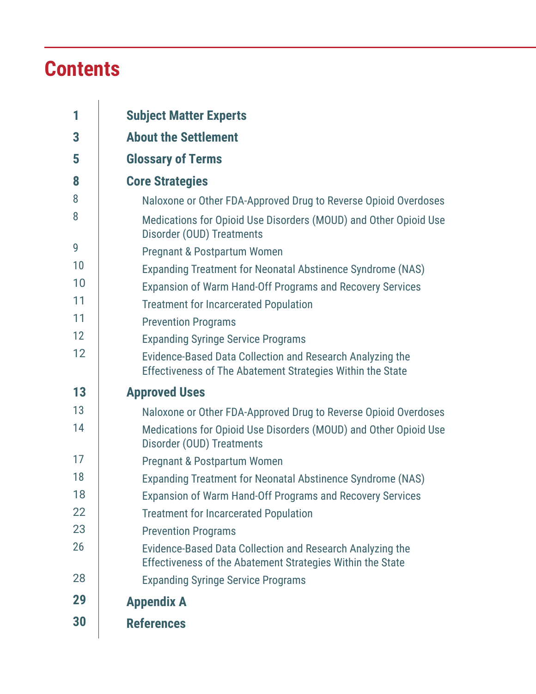# **Contents**

| 1  | <b>Subject Matter Experts</b>                                                                                           |  |
|----|-------------------------------------------------------------------------------------------------------------------------|--|
| 3  | <b>About the Settlement</b>                                                                                             |  |
| 5  | <b>Glossary of Terms</b>                                                                                                |  |
| 8  | <b>Core Strategies</b>                                                                                                  |  |
| 8  | Naloxone or Other FDA-Approved Drug to Reverse Opioid Overdoses                                                         |  |
| 8  | Medications for Opioid Use Disorders (MOUD) and Other Opioid Use<br>Disorder (OUD) Treatments                           |  |
| 9  | <b>Pregnant &amp; Postpartum Women</b>                                                                                  |  |
| 10 | Expanding Treatment for Neonatal Abstinence Syndrome (NAS)                                                              |  |
| 10 | Expansion of Warm Hand-Off Programs and Recovery Services                                                               |  |
| 11 | <b>Treatment for Incarcerated Population</b>                                                                            |  |
| 11 | <b>Prevention Programs</b>                                                                                              |  |
| 12 | <b>Expanding Syringe Service Programs</b>                                                                               |  |
| 12 | Evidence-Based Data Collection and Research Analyzing the<br>Effectiveness of The Abatement Strategies Within the State |  |
| 13 | <b>Approved Uses</b>                                                                                                    |  |
| 13 | Naloxone or Other FDA-Approved Drug to Reverse Opioid Overdoses                                                         |  |
| 14 | Medications for Opioid Use Disorders (MOUD) and Other Opioid Use<br>Disorder (OUD) Treatments                           |  |
| 17 | <b>Pregnant &amp; Postpartum Women</b>                                                                                  |  |
| 18 | Expanding Treatment for Neonatal Abstinence Syndrome (NAS)                                                              |  |
| 18 | Expansion of Warm Hand-Off Programs and Recovery Services                                                               |  |
| 22 | <b>Treatment for Incarcerated Population</b>                                                                            |  |
| 23 | <b>Prevention Programs</b>                                                                                              |  |
| 26 | Evidence-Based Data Collection and Research Analyzing the<br>Effectiveness of the Abatement Strategies Within the State |  |
| 28 | <b>Expanding Syringe Service Programs</b>                                                                               |  |
| 29 | <b>Appendix A</b>                                                                                                       |  |
| 30 | <b>References</b>                                                                                                       |  |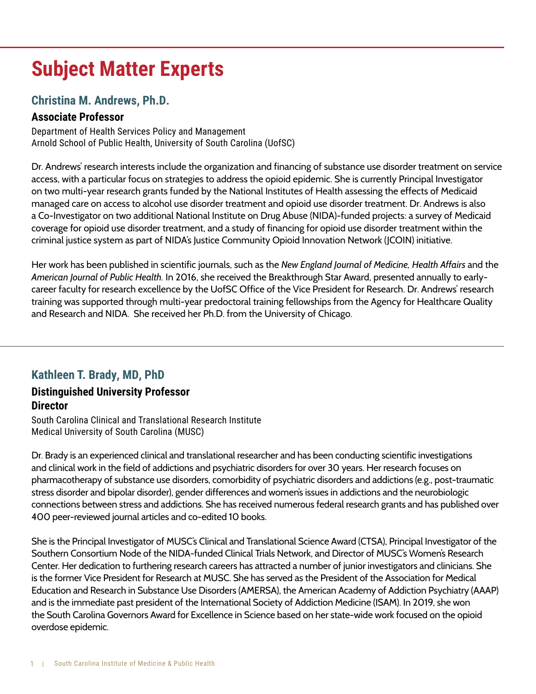# **Subject Matter Experts**

## **Christina M. Andrews, Ph.D.**

### **Associate Professor**

Department of Health Services Policy and Management Arnold School of Public Health, University of South Carolina (UofSC)

Dr. Andrews' research interests include the organization and financing of substance use disorder treatment on service access, with a particular focus on strategies to address the opioid epidemic. She is currently Principal Investigator on two multi-year research grants funded by the National Institutes of Health assessing the effects of Medicaid managed care on access to alcohol use disorder treatment and opioid use disorder treatment. Dr. Andrews is also a Co-Investigator on two additional National Institute on Drug Abuse (NIDA)-funded projects: a survey of Medicaid coverage for opioid use disorder treatment, and a study of financing for opioid use disorder treatment within the criminal justice system as part of NIDA's Justice Community Opioid Innovation Network (JCOIN) initiative.

Her work has been published in scientific journals, such as the *New England Journal of Medicine, Health Affairs* and the *American Journal of Public Health.* In 2016, she received the Breakthrough Star Award, presented annually to earlycareer faculty for research excellence by the UofSC Office of the Vice President for Research. Dr. Andrews' research training was supported through multi-year predoctoral training fellowships from the Agency for Healthcare Quality and Research and NIDA. She received her Ph.D. from the University of Chicago.

## **Kathleen T. Brady, MD, PhD**

### **Distinguished University Professor Director**

South Carolina Clinical and Translational Research Institute Medical University of South Carolina (MUSC)

Dr. Brady is an experienced clinical and translational researcher and has been conducting scientific investigations and clinical work in the field of addictions and psychiatric disorders for over 30 years. Her research focuses on pharmacotherapy of substance use disorders, comorbidity of psychiatric disorders and addictions (e.g., post-traumatic stress disorder and bipolar disorder), gender differences and women's issues in addictions and the neurobiologic connections between stress and addictions. She has received numerous federal research grants and has published over 400 peer-reviewed journal articles and co-edited 10 books.

She is the Principal Investigator of MUSC's Clinical and Translational Science Award (CTSA), Principal Investigator of the Southern Consortium Node of the NIDA-funded Clinical Trials Network, and Director of MUSC's Women's Research Center. Her dedication to furthering research careers has attracted a number of junior investigators and clinicians. She is the former Vice President for Research at MUSC. She has served as the President of the Association for Medical Education and Research in Substance Use Disorders (AMERSA), the American Academy of Addiction Psychiatry (AAAP) and is the immediate past president of the International Society of Addiction Medicine (ISAM). In 2019, she won the South Carolina Governors Award for Excellence in Science based on her state-wide work focused on the opioid overdose epidemic.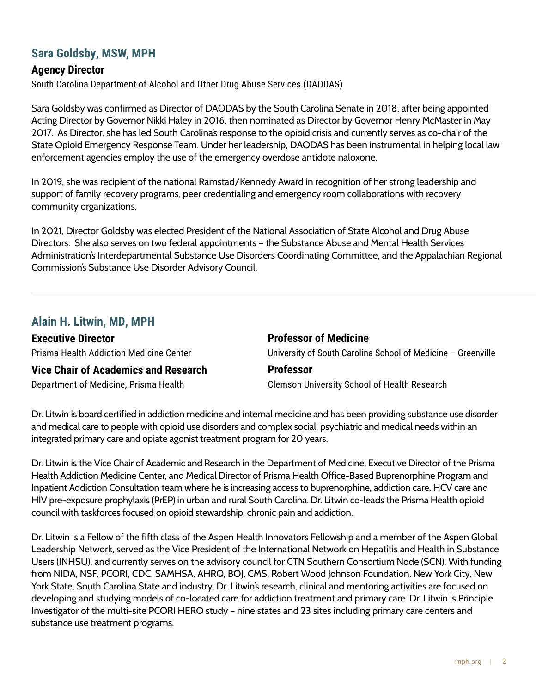### **Sara Goldsby, MSW, MPH**

#### **Agency Director**

South Carolina Department of Alcohol and Other Drug Abuse Services (DAODAS)

Sara Goldsby was confirmed as Director of DAODAS by the South Carolina Senate in 2018, after being appointed Acting Director by Governor Nikki Haley in 2016, then nominated as Director by Governor Henry McMaster in May 2017. As Director, she has led South Carolina's response to the opioid crisis and currently serves as co-chair of the State Opioid Emergency Response Team. Under her leadership, DAODAS has been instrumental in helping local law enforcement agencies employ the use of the emergency overdose antidote naloxone.

In 2019, she was recipient of the national Ramstad/Kennedy Award in recognition of her strong leadership and support of family recovery programs, peer credentialing and emergency room collaborations with recovery community organizations.

In 2021, Director Goldsby was elected President of the National Association of State Alcohol and Drug Abuse Directors. She also serves on two federal appointments – the Substance Abuse and Mental Health Services Administration's Interdepartmental Substance Use Disorders Coordinating Committee, and the Appalachian Regional Commission's Substance Use Disorder Advisory Council.

#### **Alain H. Litwin, MD, MPH**

**Executive Director** Prisma Health Addiction Medicine Center

#### **Professor of Medicine**

University of South Carolina School of Medicine – Greenville

### **Vice Chair of Academics and Research**

Department of Medicine, Prisma Health

#### **Professor**

Clemson University School of Health Research

Dr. Litwin is board certified in addiction medicine and internal medicine and has been providing substance use disorder and medical care to people with opioid use disorders and complex social, psychiatric and medical needs within an integrated primary care and opiate agonist treatment program for 20 years.

Dr. Litwin is the Vice Chair of Academic and Research in the Department of Medicine, Executive Director of the Prisma Health Addiction Medicine Center, and Medical Director of Prisma Health Office-Based Buprenorphine Program and Inpatient Addiction Consultation team where he is increasing access to buprenorphine, addiction care, HCV care and HIV pre-exposure prophylaxis (PrEP) in urban and rural South Carolina. Dr. Litwin co-leads the Prisma Health opioid council with taskforces focused on opioid stewardship, chronic pain and addiction.

Dr. Litwin is a Fellow of the fifth class of the Aspen Health Innovators Fellowship and a member of the Aspen Global Leadership Network, served as the Vice President of the International Network on Hepatitis and Health in Substance Users (INHSU), and currently serves on the advisory council for CTN Southern Consortium Node (SCN). With funding from NIDA, NSF, PCORI, CDC, SAMHSA, AHRQ, BOJ, CMS, Robert Wood Johnson Foundation, New York City, New York State, South Carolina State and industry, Dr. Litwin's research, clinical and mentoring activities are focused on developing and studying models of co-located care for addiction treatment and primary care. Dr. Litwin is Principle Investigator of the multi-site PCORI HERO study – nine states and 23 sites including primary care centers and substance use treatment programs.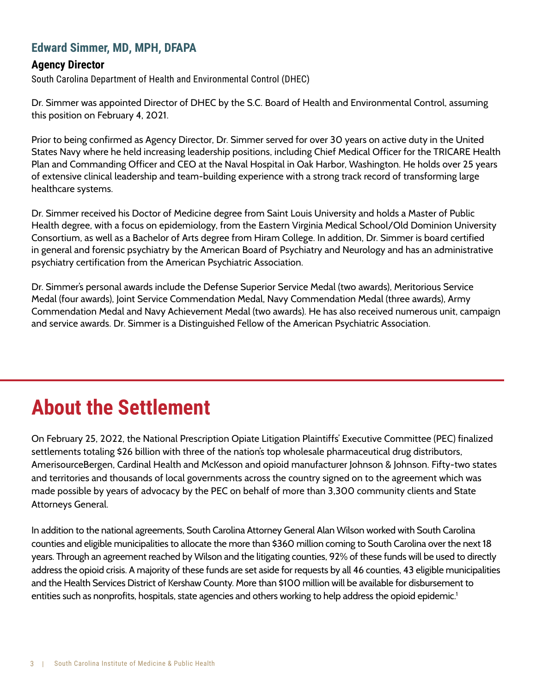## **Edward Simmer, MD, MPH, DFAPA**

#### **Agency Director**

South Carolina Department of Health and Environmental Control (DHEC)

Dr. Simmer was appointed Director of DHEC by the S.C. Board of Health and Environmental Control, assuming this position on February 4, 2021.

Prior to being confirmed as Agency Director, Dr. Simmer served for over 30 years on active duty in the United States Navy where he held increasing leadership positions, including Chief Medical Officer for the TRICARE Health Plan and Commanding Officer and CEO at the Naval Hospital in Oak Harbor, Washington. He holds over 25 years of extensive clinical leadership and team-building experience with a strong track record of transforming large healthcare systems.

Dr. Simmer received his Doctor of Medicine degree from Saint Louis University and holds a Master of Public Health degree, with a focus on epidemiology, from the Eastern Virginia Medical School/Old Dominion University Consortium, as well as a Bachelor of Arts degree from Hiram College. In addition, Dr. Simmer is board certified in general and forensic psychiatry by the American Board of Psychiatry and Neurology and has an administrative psychiatry certification from the American Psychiatric Association.

Dr. Simmer's personal awards include the Defense Superior Service Medal (two awards), Meritorious Service Medal (four awards), Joint Service Commendation Medal, Navy Commendation Medal (three awards), Army Commendation Medal and Navy Achievement Medal (two awards). He has also received numerous unit, campaign and service awards. Dr. Simmer is a Distinguished Fellow of the American Psychiatric Association.

# **About the Settlement**

On February 25, 2022, the National Prescription Opiate Litigation Plaintiffs' Executive Committee (PEC) finalized settlements totaling \$26 billion with three of the nation's top wholesale pharmaceutical drug distributors, AmerisourceBergen, Cardinal Health and McKesson and opioid manufacturer Johnson & Johnson. Fifty-two states and territories and thousands of local governments across the country signed on to the agreement which was made possible by years of advocacy by the PEC on behalf of more than 3,300 community clients and State Attorneys General.

In addition to the national agreements, South Carolina Attorney General Alan Wilson worked with South Carolina counties and eligible municipalities to allocate the more than \$360 million coming to South Carolina over the next 18 years. Through an agreement reached by Wilson and the litigating counties, 92% of these funds will be used to directly address the opioid crisis. A majority of these funds are set aside for requests by all 46 counties, 43 eligible municipalities and the Health Services District of Kershaw County. More than \$100 million will be available for disbursement to entities such as nonprofits, hospitals, state agencies and others working to help address the opioid epidemic.<sup>1</sup>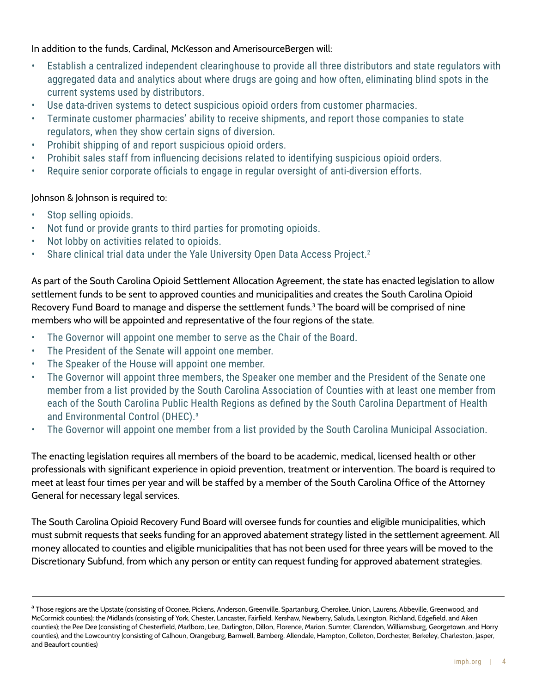In addition to the funds, Cardinal, McKesson and AmerisourceBergen will:

- Establish a centralized independent clearinghouse to provide all three distributors and state regulators with aggregated data and analytics about where drugs are going and how often, eliminating blind spots in the current systems used by distributors.
- Use data-driven systems to detect suspicious opioid orders from customer pharmacies.
- Terminate customer pharmacies' ability to receive shipments, and report those companies to state regulators, when they show certain signs of diversion.
- Prohibit shipping of and report suspicious opioid orders.
- Prohibit sales staff from influencing decisions related to identifying suspicious opioid orders.
- Require senior corporate officials to engage in regular oversight of anti-diversion efforts.

#### Johnson & Johnson is required to:

- Stop selling opioids.
- Not fund or provide grants to third parties for promoting opioids.
- Not lobby on activities related to opioids.
- Share clinical trial data under the Yale University Open Data Access Project.<sup>2</sup>

As part of the South Carolina Opioid Settlement Allocation Agreement, the state has enacted legislation to allow settlement funds to be sent to approved counties and municipalities and creates the South Carolina Opioid Recovery Fund Board to manage and disperse the settlement funds. $3$  The board will be comprised of nine members who will be appointed and representative of the four regions of the state.

- The Governor will appoint one member to serve as the Chair of the Board.
- The President of the Senate will appoint one member.
- The Speaker of the House will appoint one member.
- The Governor will appoint three members, the Speaker one member and the President of the Senate one member from a list provided by the South Carolina Association of Counties with at least one member from each of the South Carolina Public Health Regions as defined by the South Carolina Department of Health and Environmental Control (DHEC).<sup>a</sup>
- The Governor will appoint one member from a list provided by the South Carolina Municipal Association.

The enacting legislation requires all members of the board to be academic, medical, licensed health or other professionals with significant experience in opioid prevention, treatment or intervention. The board is required to meet at least four times per year and will be staffed by a member of the South Carolina Office of the Attorney General for necessary legal services.

The South Carolina Opioid Recovery Fund Board will oversee funds for counties and eligible municipalities, which must submit requests that seeks funding for an approved abatement strategy listed in the settlement agreement. All money allocated to counties and eligible municipalities that has not been used for three years will be moved to the Discretionary Subfund, from which any person or entity can request funding for approved abatement strategies.

a Those regions are the Upstate (consisting of Oconee, Pickens, Anderson, Greenville, Spartanburg, Cherokee, Union, Laurens, Abbeville, Greenwood, and McCormick counties); the Midlands (consisting of York, Chester, Lancaster, Fairfield, Kershaw, Newberry, Saluda, Lexington, Richland, Edgefield, and Aiken counties); the Pee Dee (consisting of Chesterfield, Marlboro, Lee, Darlington, Dillon, Florence, Marion, Sumter, Clarendon, Williamsburg, Georgetown, and Horry counties), and the Lowcountry (consisting of Calhoun, Orangeburg, Barnwell, Bamberg, Allendale, Hampton, Colleton, Dorchester, Berkeley, Charleston, Jasper, and Beaufort counties)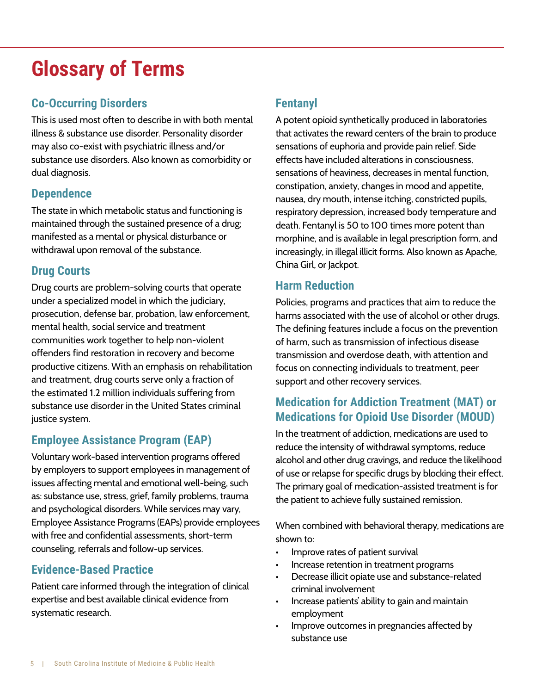# **Glossary of Terms**

## **Co-Occurring Disorders**

This is used most often to describe in with both mental illness & substance use disorder. Personality disorder may also co-exist with psychiatric illness and/or substance use disorders. Also known as comorbidity or dual diagnosis.

## **Dependence**

The state in which metabolic status and functioning is maintained through the sustained presence of a drug; manifested as a mental or physical disturbance or withdrawal upon removal of the substance.

## **Drug Courts**

Drug courts are problem-solving courts that operate under a specialized model in which the judiciary, prosecution, defense bar, probation, law enforcement, mental health, social service and treatment communities work together to help non-violent offenders find restoration in recovery and become productive citizens. With an emphasis on rehabilitation and treatment, drug courts serve only a fraction of the estimated 1.2 million individuals suffering from substance use disorder in the United States criminal justice system.

## **Employee Assistance Program (EAP)**

Voluntary work-based intervention programs offered by employers to support employees in management of issues affecting mental and emotional well-being, such as: substance use, stress, grief, family problems, trauma and psychological disorders. While services may vary, Employee Assistance Programs (EAPs) provide employees with free and confidential assessments, short-term counseling, referrals and follow-up services.

## **Evidence-Based Practice**

Patient care informed through the integration of clinical expertise and best available clinical evidence from systematic research.

# **Fentanyl**

A potent opioid synthetically produced in laboratories that activates the reward centers of the brain to produce sensations of euphoria and provide pain relief. Side effects have included alterations in consciousness, sensations of heaviness, decreases in mental function, constipation, anxiety, changes in mood and appetite, nausea, dry mouth, intense itching, constricted pupils, respiratory depression, increased body temperature and death. Fentanyl is 50 to 100 times more potent than morphine, and is available in legal prescription form, and increasingly, in illegal illicit forms. Also known as Apache, China Girl, or Jackpot.

## **Harm Reduction**

Policies, programs and practices that aim to reduce the harms associated with the use of alcohol or other drugs. The defining features include a focus on the prevention of harm, such as transmission of infectious disease transmission and overdose death, with attention and focus on connecting individuals to treatment, peer support and other recovery services.

## **Medication for Addiction Treatment (MAT) or Medications for Opioid Use Disorder (MOUD)**

In the treatment of addiction, medications are used to reduce the intensity of withdrawal symptoms, reduce alcohol and other drug cravings, and reduce the likelihood of use or relapse for specific drugs by blocking their effect. The primary goal of medication-assisted treatment is for the patient to achieve fully sustained remission.

When combined with behavioral therapy, medications are shown to:

- Improve rates of patient survival
- Increase retention in treatment programs
- Decrease illicit opiate use and substance-related criminal involvement
- Increase patients' ability to gain and maintain employment
- Improve outcomes in pregnancies affected by substance use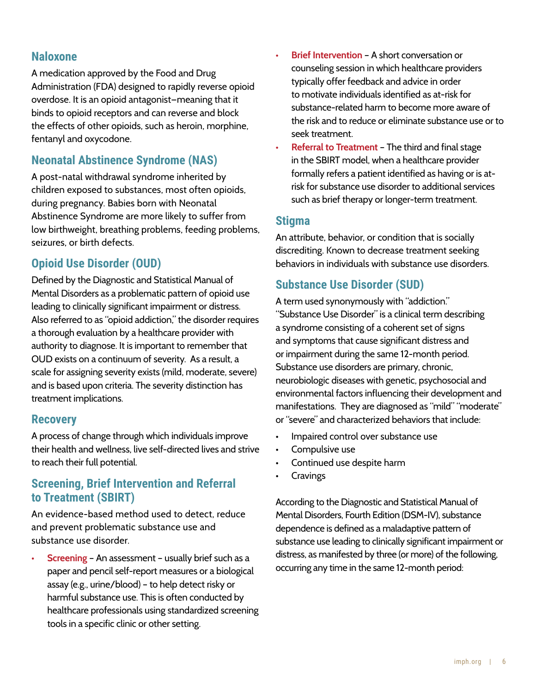### **Naloxone**

A medication approved by the Food and Drug Administration (FDA) designed to rapidly reverse opioid overdose. It is an opioid antagonist—meaning that it binds to opioid receptors and can reverse and block the effects of other opioids, such as heroin, morphine, fentanyl and oxycodone.

## **Neonatal Abstinence Syndrome (NAS)**

A post-natal withdrawal syndrome inherited by children exposed to substances, most often opioids, during pregnancy. Babies born with Neonatal Abstinence Syndrome are more likely to suffer from low birthweight, breathing problems, feeding problems, seizures, or birth defects.

## **Opioid Use Disorder (OUD)**

Defined by the Diagnostic and Statistical Manual of Mental Disorders as a problematic pattern of opioid use leading to clinically significant impairment or distress. Also referred to as "opioid addiction," the disorder requires a thorough evaluation by a healthcare provider with authority to diagnose. It is important to remember that OUD exists on a continuum of severity. As a result, a scale for assigning severity exists (mild, moderate, severe) and is based upon criteria. The severity distinction has treatment implications.

#### **Recovery**

A process of change through which individuals improve their health and wellness, live self-directed lives and strive to reach their full potential.

### **Screening, Brief Intervention and Referral to Treatment (SBIRT)**

An evidence-based method used to detect, reduce and prevent problematic substance use and substance use disorder.

**• Screening** – An assessment – usually brief such as a paper and pencil self-report measures or a biological assay (e.g., urine/blood) – to help detect risky or harmful substance use. This is often conducted by healthcare professionals using standardized screening tools in a specific clinic or other setting.

- **Brief Intervention** A short conversation or counseling session in which healthcare providers typically offer feedback and advice in order to motivate individuals identified as at-risk for substance-related harm to become more aware of the risk and to reduce or eliminate substance use or to seek treatment.
- **Referral to Treatment** The third and final stage in the SBIRT model, when a healthcare provider formally refers a patient identified as having or is atrisk for substance use disorder to additional services such as brief therapy or longer-term treatment.

### **Stigma**

An attribute, behavior, or condition that is socially discrediting. Known to decrease treatment seeking behaviors in individuals with substance use disorders.

## **Substance Use Disorder (SUD)**

A term used synonymously with "addiction." "Substance Use Disorder" is a clinical term describing a syndrome consisting of a coherent set of signs and symptoms that cause significant distress and or impairment during the same 12-month period. Substance use disorders are primary, chronic, neurobiologic diseases with genetic, psychosocial and environmental factors influencing their development and manifestations. They are diagnosed as "mild" "moderate" or "severe" and characterized behaviors that include:

- Impaired control over substance use
- Compulsive use
- Continued use despite harm
- **Cravings**

According to the Diagnostic and Statistical Manual of Mental Disorders, Fourth Edition (DSM-IV), substance dependence is defined as a maladaptive pattern of substance use leading to clinically significant impairment or distress, as manifested by three (or more) of the following, occurring any time in the same 12-month period: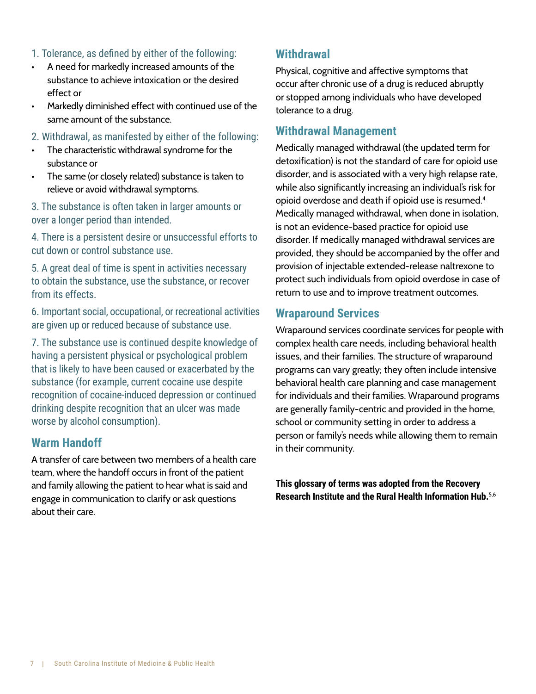- 1. Tolerance, as defined by either of the following:
- A need for markedly increased amounts of the substance to achieve intoxication or the desired effect or
- Markedly diminished effect with continued use of the same amount of the substance.
- 2. Withdrawal, as manifested by either of the following:
- The characteristic withdrawal syndrome for the substance or
- The same (or closely related) substance is taken to relieve or avoid withdrawal symptoms.

3. The substance is often taken in larger amounts or over a longer period than intended.

4. There is a persistent desire or unsuccessful efforts to cut down or control substance use.

5. A great deal of time is spent in activities necessary to obtain the substance, use the substance, or recover from its effects.

6. Important social, occupational, or recreational activities are given up or reduced because of substance use.

7. The substance use is continued despite knowledge of having a persistent physical or psychological problem that is likely to have been caused or exacerbated by the substance (for example, current cocaine use despite recognition of cocaine-induced depression or continued drinking despite recognition that an ulcer was made worse by alcohol consumption).

### **Warm Handoff**

A transfer of care between two members of a health care team, where the handoff occurs in front of the patient and family allowing the patient to hear what is said and engage in communication to clarify or ask questions about their care.

### **Withdrawal**

Physical, cognitive and affective symptoms that occur after chronic use of a drug is reduced abruptly or stopped among individuals who have developed tolerance to a drug.

#### **Withdrawal Management**

Medically managed withdrawal (the updated term for detoxification) is not the standard of care for opioid use disorder, and is associated with a very high relapse rate, while also significantly increasing an individual's risk for opioid overdose and death if opioid use is resumed. $^{\rm 4}$ Medically managed withdrawal, when done in isolation, is not an evidence-based practice for opioid use disorder. If medically managed withdrawal services are provided, they should be accompanied by the offer and provision of injectable extended-release naltrexone to protect such individuals from opioid overdose in case of return to use and to improve treatment outcomes.

#### **Wraparound Services**

Wraparound services coordinate services for people with complex health care needs, including behavioral health issues, and their families. The structure of wraparound programs can vary greatly; they often include intensive behavioral health care planning and case management for individuals and their families. Wraparound programs are generally family-centric and provided in the home, school or community setting in order to address a person or family's needs while allowing them to remain in their community.

**This glossary of terms was adopted from the Recovery Research Institute and the Rural Health Information Hub.**5,6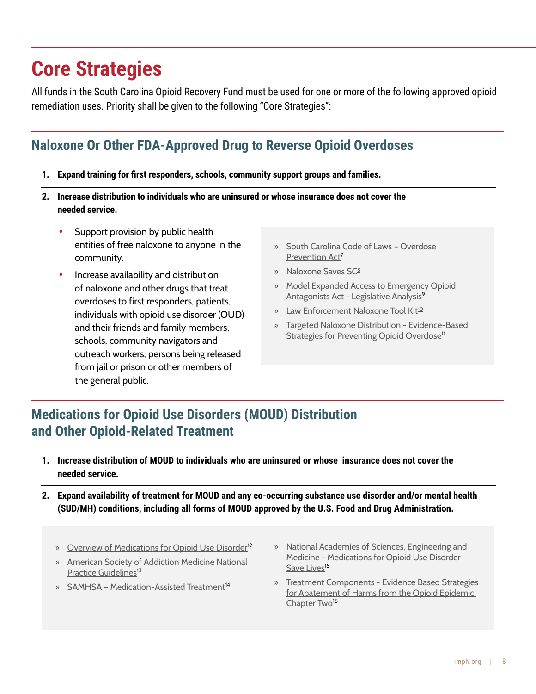# **Core Strategies**

All funds in the South Carolina Opioid Recovery Fund must be used for one or more of the following approved opioid remediation uses. Priority shall be given to the following "Core Strategies":

# **Naloxone Or Other FDA-Approved Drug to Reverse Opioid Overdoses**

- **1. Expand training for first responders, schools, community support groups and families.**
- **2. Increase distribution to individuals who are uninsured or whose insurance does not cover the needed service.**
	- Support provision by public health entities of free naloxone to anyone in the community.
	- Increase availability and distribution of naloxone and other drugs that treat overdoses to first responders, patients, individuals with opioid use disorder (OUD) and their friends and family members, schools, community navigators and outreach workers, persons being released from jail or prison or other members of the general public.
- » [South Carolina Code of Laws Overdose](https://www.scstatehouse.gov/code/t44c130.php)  [Prevention Act](https://www.scstatehouse.gov/code/t44c130.php)<sup>7</sup>
- » [Naloxone Saves SC](http://naloxonesavessc.org/)<sup>8</sup>
- » [Model Expanded Access to Emergency Opioid](http://legislativeanalysis.org/wp-content/uploads/2021/12/Model-Expanded-Access-to-Emergency-Opioid-Antagonists-Act-FINAL.pdf)  [Antagonists Act - Legislative Analysis](http://legislativeanalysis.org/wp-content/uploads/2021/12/Model-Expanded-Access-to-Emergency-Opioid-Antagonists-Act-FINAL.pdf)<sup>9</sup>
- » [Law Enforcement Naloxone Tool Kit](https://bjatta.bja.ojp.gov/tools/naloxone/Naloxone-Background)<sup>10</sup>
- » [Targeted Naloxone Distribution Evidence-Based](https://www.cdc.gov/drugoverdose/featured-topics/evidence-based-strategies.html)  [Strategies for Preventing Opioid Overdose](https://www.cdc.gov/drugoverdose/featured-topics/evidence-based-strategies.html)<sup>11</sup>

# **Medications for Opioid Use Disorders (MOUD) Distribution and Other Opioid-Related Treatment**

- **1. Increase distribution of MOUD to individuals who are uninsured or whose insurance does not cover the needed service.**
- **2. Expand availability of treatment for MOUD and any co-occurring substance use disorder and/or mental health (SUD/MH) conditions, including all forms of MOUD approved by the U.S. Food and Drug Administration.**
	- » [Overview of Medications for Opioid Use Disorder](https://pcssnow.org/medications-for-opioid-use-disorder/)<sup>12</sup>
	- » [American Society of Addiction Medicine National](https://www.asam.org/quality-care/clinical-guidelines/national-practice-guideline)  [Practice Guidelines](https://www.asam.org/quality-care/clinical-guidelines/national-practice-guideline)<sup>13</sup>
	- » SAMHSA Medication-Assisted Treatment<sup>14</sup>
- » [National Academies of Sciences, Engineering and](https://www.nationalacademies.org/our-work/medication-assisted-treatment-for-opioid-use-disorder)  [Medicine - Medications for Opioid Use Disorder](https://www.nationalacademies.org/our-work/medication-assisted-treatment-for-opioid-use-disorder)  [Save Lives](https://www.nationalacademies.org/our-work/medication-assisted-treatment-for-opioid-use-disorder)<sup>15</sup>
- » [Treatment Components Evidence Based Strategies](https://www.lac.org/resource/evidence-based-strategies-for-abatement-of-harms-from-the-o)  [for Abatement of Harms from the Opioid Epidemic](https://www.lac.org/resource/evidence-based-strategies-for-abatement-of-harms-from-the-o)  [Chapter Two](https://www.lac.org/resource/evidence-based-strategies-for-abatement-of-harms-from-the-o)<sup>16</sup>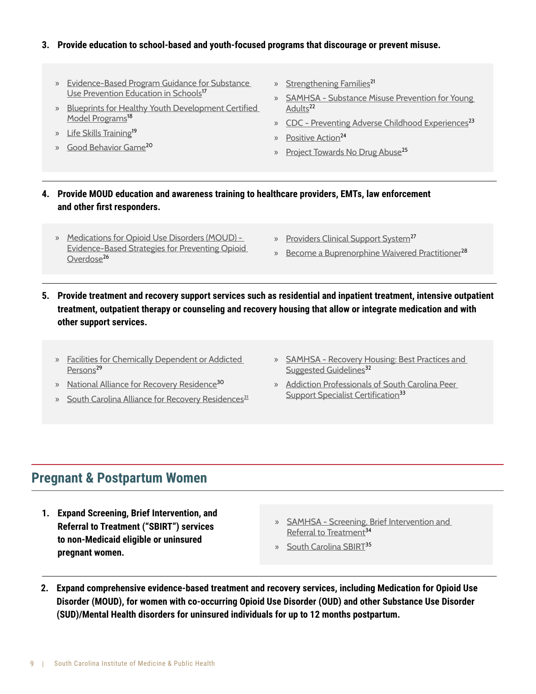#### **3. Provide education to school-based and youth-focused programs that discourage or prevent misuse.**

- » [Evidence-Based Program Guidance for Substance](http://www.nysed.gov/common/nysed/files/programs/curriculum-instruction/evidence-based-program-guidance-substance-use-prevention-education-schools.pdf)  [Use Prevention Education in Schools](http://www.nysed.gov/common/nysed/files/programs/curriculum-instruction/evidence-based-program-guidance-substance-use-prevention-education-schools.pdf)<sup>17</sup>
- » [Blueprints for Healthy Youth Development Certified](https://www.blueprintsprograms.org/program-search/)  [Model Programs](https://www.blueprintsprograms.org/program-search/)<sup>18</sup>
- » [Life Skills Training](https://www.lifeskillstraining.com/)<sup>19</sup>
- » [Good Behavior Game](https://www.air.org/resource/spotlight/good-behavior-game)<sup>20</sup>
- » [Strengthening Families](https://strengtheningfamiliesprogram.org/)<sup>21</sup>
- » [SAMHSA Substance Misuse Prevention for Young](https://store.samhsa.gov/sites/default/files/d7/priv/pep19-pl-guide-1.pdf)  [Adults](https://store.samhsa.gov/sites/default/files/d7/priv/pep19-pl-guide-1.pdf)<sup>22</sup>
- » [CDC Preventing Adverse Childhood Experiences](https://www.cdc.gov/violenceprevention/pdf/preventingACES.pdf)<sup>23</sup>
- » [Positive Action](https://www.positiveaction.net/)<sup>24</sup>
- » [Project Towards No Drug Abuse](https://tnd.usc.edu/)<sup>25</sup>
- **4. Provide MOUD education and awareness training to healthcare providers, EMTs, law enforcement and other first responders.**
	- » [Medications for Opioid Use Disorders \(MOUD\)](https://www.cdc.gov/drugoverdose/featured-topics/evidence-based-strategies.html)  [Evidence-Based Strategies for Preventing Opioid](https://www.cdc.gov/drugoverdose/featured-topics/evidence-based-strategies.html)  [Overdose](https://www.cdc.gov/drugoverdose/featured-topics/evidence-based-strategies.html)<sup>26</sup>
- » [Providers Clinical Support System](https://pcssnow.org/)<sup>27</sup>
- » [Become a Buprenorphine Waivered Practitioner](https://www.samhsa.gov/medication-assisted-treatment/become-buprenorphine-waivered-practitioner)<sup>2[8](https://www.cdc.gov/drugoverdose/featured-topics/evidence-based-strategies.html)</sup>
- **5. Provide treatment and recovery support services such as residential and inpatient treatment, intensive outpatient treatment, outpatient therapy or counseling and recovery housing that allow or integrate medication and with other support services.**
	- » [Facilities for Chemically Dependent or Addicted](https://scdhec.gov/BHFL/facilities-treat-individuals-psychoactive-substance-abuse-or-dependence)  [Persons](https://scdhec.gov/BHFL/facilities-treat-individuals-psychoactive-substance-abuse-or-dependence)<sup>29</sup>
	- » [National Alliance for Recovery Residence](https://narronline.org/affiliate-services/standards-and-certification-program/)<sup>30</sup>
	- » [South Carolina Alliance for Recovery Residences](https://scarronline.org/)<sup>31</sup>
- » [SAMHSA Recovery Housing: Best Practices and](https://www.samhsa.gov/resource/ebp/recovery-housing-best-practices-suggested-guidelines)  [Suggested Guidelines](https://www.samhsa.gov/resource/ebp/recovery-housing-best-practices-suggested-guidelines)<sup>32</sup>
- » [Addiction Professionals of South Carolina Peer](https://addictionprofessionalsofsouthcarolina.org/peer-support-specialists-certification/)  [Support Specialist Certification](https://addictionprofessionalsofsouthcarolina.org/peer-support-specialists-certification/)<sup>[3](https://www.cdc.gov/drugoverdose/featured-topics/evidence-based-strategies.html)3</sup>

## **Pregnant & Postpartum Women**

- **1. Expand Screening, Brief Intervention, and Referral to Treatment ("SBIRT") services to non-Medicaid eligible or uninsured pregnant women.**
- » [SAMHSA Screening, Brief Intervention and](https://www.samhsa.gov/sbirt)  [Referral to Treatment](https://www.samhsa.gov/sbirt)<sup>34</sup>
- » [South Carolina SBIRT](https://scsbirt.com/)<sup>35</sup>
- **2. Expand comprehensive evidence-based treatment and recovery services, including Medication for Opioid Use Disorder (MOUD), for women with co-occurring Opioid Use Disorder (OUD) and other Substance Use Disorder (SUD)/Mental Health disorders for uninsured individuals for up to 12 months postpartum.**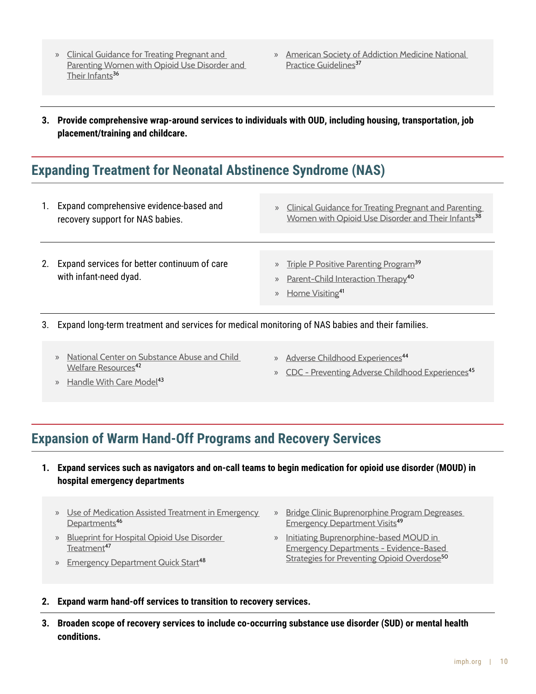- » Clinical Guidance for Treating Pregnant and Parenting Women with Opioid Use Disorder and Their Infants<sup>36</sup>
- » [American Society of Addiction Medicine National](https://www.asam.org/quality-care/clinical-guidelines/national-practice-guideline)  [Practice Guidelines](https://www.asam.org/quality-care/clinical-guidelines/national-practice-guideline)<sup>37</sup>
- **3. Provide comprehensive wrap-around services to individuals with OUD, including housing, transportation, job placement/training and childcare.**

## **Expanding Treatment for Neonatal Abstinence Syndrome (NAS)**

| Expand comprehensive evidence-based and<br>recovery support for NAS babies. | <b>Clinical Guidance for Treating Pregnant and Parenting</b><br>$\rangle$<br>Women with Opioid Use Disorder and Their Infants <sup>38</sup> |
|-----------------------------------------------------------------------------|---------------------------------------------------------------------------------------------------------------------------------------------|
| Expand services for better continuum of care<br>with infant-need dyad.      | » Triple P Positive Parenting Program <sup>39</sup><br>» Parent-Child Interaction Therapy <sup>40</sup><br>» Home Visiting <sup>41</sup>    |

3. Expand long-term treatment and services for medical monitoring of NAS babies and their families.

- » [National Center on Substance Abuse and Child](https://ncsacw.acf.hhs.gov/topics/neonatal-abstinence-syndrome.aspx)  [Welfare Resources](https://ncsacw.acf.hhs.gov/topics/neonatal-abstinence-syndrome.aspx)<sup>42</sup>
- » [Adverse Childhood Experiences](https://scchildren.org/resources/adverse-childhood-experiences/)<sup>44</sup>
- » [CDC Preventing Adverse Childhood Experiences](https://www.cdc.gov/violenceprevention/aces/fastfact.html)<sup>4[5](https://www.cdc.gov/drugoverdose/featured-topics/evidence-based-strategies.html)</sup>
- » [Handle With Care Model](http://handlewithcarewv.org/)<sup>43</sup>
- **Expansion of Warm Hand-Off Programs and Recovery Services**
	- **1. Expand services such as navigators and on-call teams to begin medication for opioid use disorder (MOUD) in hospital emergency departments**
		- » [Use of Medication Assisted Treatment in Emergency](https://store.samhsa.gov/sites/default/files/SAMHSA_Digital_Download/pep21-pl-guide-5.pdf)  [Departments](https://store.samhsa.gov/sites/default/files/SAMHSA_Digital_Download/pep21-pl-guide-5.pdf)<sup>46</sup>
		- » [Blueprint for Hospital Opioid Use Disorder](https://cabridge.org/resource/blueprint-for-hospital-opioid-use-disorder-treatment/)  [Treatment](https://cabridge.org/resource/blueprint-for-hospital-opioid-use-disorder-treatment/)<sup>47</sup>
		- » [Emergency Department Quick Start](https://cabridge.org/resource/buprenorphine-bup-hospital-quick-start/)<sup>48</sup>
- » [Bridge Clinic Buprenorphine Program Degreases](https://www.sciencedirect.com/science/article/pii/S0740547221001367)  **[Emergency Department Visits](https://www.sciencedirect.com/science/article/pii/S0740547221001367)<sup>49</sup>**
- » [Initiating Buprenorphine-based MOUD in](https://www.cdc.gov/drugoverdose/featured-topics/evidence-based-strategies.html)  [Emergency Departments - Evidence-Based](https://www.cdc.gov/drugoverdose/featured-topics/evidence-based-strategies.html)  [Strategies for Preventing Opioid Overdose](https://www.cdc.gov/drugoverdose/featured-topics/evidence-based-strategies.html)<sup>50</sup>

#### **2. Expand warm hand-off services to transition to recovery services.**

**3. Broaden scope of recovery services to include co-occurring substance use disorder (SUD) or mental health conditions.**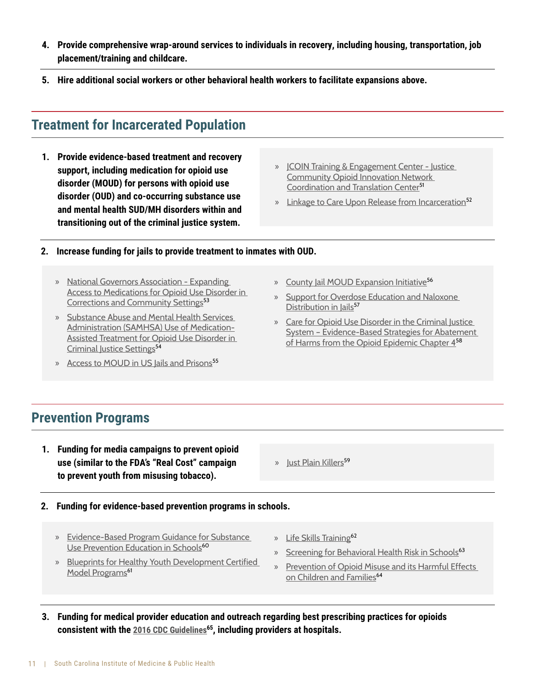- **4. Provide comprehensive wrap-around services to individuals in recovery, including housing, transportation, job placement/training and childcare.**
- **5. Hire additional social workers or other behavioral health workers to facilitate expansions above.**

## **Treatment for Incarcerated Population**

- **1. Provide evidence-based treatment and recovery support, including medication for opioid use disorder (MOUD) for persons with opioid use disorder (OUD) and co-occurring substance use and mental health SUD/MH disorders within and transitioning out of the criminal justice system.**
- » [JCOIN Training & Engagement Center Justice](https://www.jcoinctc.org/jtec/)  [Community Opioid Innovation Network](https://www.jcoinctc.org/jtec/)  [Coordination and Translation Center](https://www.jcoinctc.org/jtec/)<sup>51</sup>
- » [Linkage to Care Upon Release from Incarceration](https://www.hidtaprogram.org/pdf/cornerstone_2018.pdf)<sup>52</sup>

#### **2. Increase funding for jails to provide treatment to inmates with OUD.**

- » [National Governors Association Expanding](https://www.nga.org/center/publications/expanding-access-medications-oud-corrections-community-settings/)  [Access to Medications for Opioid Use Disorder in](https://www.nga.org/center/publications/expanding-access-medications-oud-corrections-community-settings/)  [Corrections and Community Settings](https://www.nga.org/center/publications/expanding-access-medications-oud-corrections-community-settings/)<sup>53</sup>
- » [Substance Abuse and Mental Health Services](https://www.samhsa.gov/resource/ebp/use-medication-assisted-treatment-opioid-use-disorder-criminal-justice-settings)  [Administration \(SAMHSA\) Use of Medication-](https://www.samhsa.gov/resource/ebp/use-medication-assisted-treatment-opioid-use-disorder-criminal-justice-settings)[Assisted Treatment for Opioid Use Disorder in](https://www.samhsa.gov/resource/ebp/use-medication-assisted-treatment-opioid-use-disorder-criminal-justice-settings)  [Criminal Justice Settings](https://www.samhsa.gov/resource/ebp/use-medication-assisted-treatment-opioid-use-disorder-criminal-justice-settings)<sup>54</sup>
- » [Access to MOUD in US Jails and Prisons](https://oneill.law.georgetown.edu/wp-content/uploads/2021/07/National-Snapshot-Access-to-Medications-for-Opioid-Use-Disorder-in-U.S.-Jails-and-Prisons.pdf)<sup>55</sup>
- » [County Jail MOUD Expansion Initiative](https://www.healthmanagement.com/pajailmoud/)<sup>56</sup>
- » [Support for Overdose Education and Naloxone](https://www.ncchc.org/?s=Support+for+Overdose+Education+and+Naloxone+Distribution+in+Jails)  [Distribution in Jails](https://www.ncchc.org/?s=Support+for+Overdose+Education+and+Naloxone+Distribution+in+Jails)<sup>57</sup>
- » [Care for Opioid Use Disorder in the Criminal Justice](https://www.lac.org/resource/evidence-based-strategies-for-abatement-of-harms-from-the-o)  [System – Evidence-Based Strategies for Abatement](https://www.lac.org/resource/evidence-based-strategies-for-abatement-of-harms-from-the-o)  of Harms from the Opioid Epidemic Chapter  $4^{58}$  $4^{58}$  $4^{58}$

## **Prevention Programs**

- **1. Funding for media campaigns to prevent opioid use (similar to the FDA's "Real Cost" campaign to prevent youth from misusing tobacco).**
- **2. Funding for evidence-based prevention programs in schools.**
	- » [Evidence-Based Program Guidance for Substance](http://www.nysed.gov/common/nysed/files/programs/curriculum-instruction/evidence-based-program-guidance-substance-use-prevention-education-schools.pdf)  [Use Prevention Education in Schools](http://www.nysed.gov/common/nysed/files/programs/curriculum-instruction/evidence-based-program-guidance-substance-use-prevention-education-schools.pdf)<sup>60</sup>
	- » [Blueprints for Healthy Youth Development Certified](https://www.blueprintsprograms.org/program-search/)  [Model Programs](https://www.blueprintsprograms.org/program-search/)<sup>61</sup>
- » [Just Plain Killers](https://justplainkillers.com/)<sup>59</sup>
- » [Life Skills Training](https://www.lifeskillstraining.com/)<sup>62</sup>
- » [Screening for Behavioral Health Risk in Schools](https://www.samhsa.gov/resource/ebp/ready-set-go-review-screening-behavioral-health-risk-schools)<sup>63</sup>
- » [Prevention of Opioid Misuse and its Harmful Effects](https://www.lac.org/resource/evidence-based-strategies-for-abatement-of-harms-from-the-o)  [on Children and Families](https://www.lac.org/resource/evidence-based-strategies-for-abatement-of-harms-from-the-o)<sup>6[4](https://www.cdc.gov/drugoverdose/featured-topics/evidence-based-strategies.html)</sup>

**3. Funding for medical provider education and outreach regarding best prescribing practices for opioids consistent with the [2016 CDC Guidelines](https://www.cdc.gov/media/modules/dpk/2016/dpk-pod/rr6501e1er-ebook.pdf)<sup>65</sup>, including providers at hospitals.**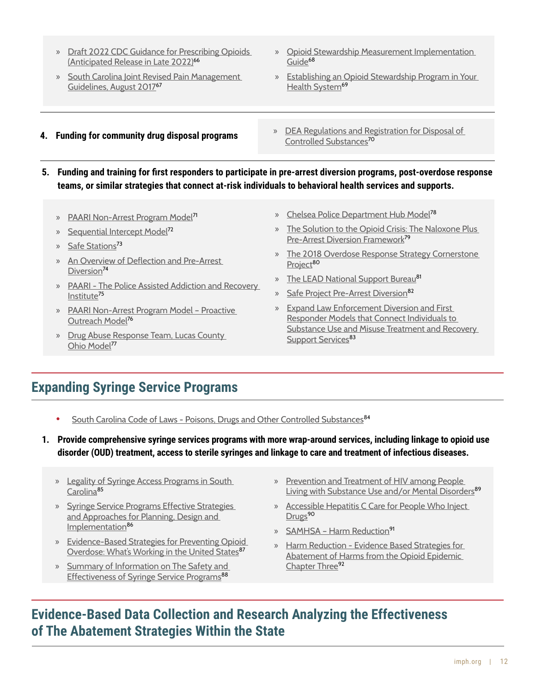- » [Draft 2022 CDC Guidance for Prescribing Opioids](https://www.regulations.gov/document/CDC-2022-0024-0005)  [\(Anticipated Release in Late 2022\)](https://www.regulations.gov/document/CDC-2022-0024-0005)<sup>66</sup>
- » [South Carolina Joint Revised Pain Management](https://llr.sc.gov/med/pdf/FINAL%20Joint%20Revised%20Pain%20Management%20Guidelines%20August%202017.pdf)  [Guidelines, August 2017](https://llr.sc.gov/med/pdf/FINAL%20Joint%20Revised%20Pain%20Management%20Guidelines%20August%202017.pdf)<sup>67</sup>
- » [Opioid Stewardship Measurement Implementation](https://www.aha.org/guidesreports/2017-11-07-stem-tide-addressing-opioid-epidemic-taking-action)  [Guide](https://www.aha.org/guidesreports/2017-11-07-stem-tide-addressing-opioid-epidemic-taking-action)<sup>68</sup>
- » [Establishing an Opioid Stewardship Program in Your](https://www.jointcommission.org/resources/patient-safety-topics/pain-management-standards-for-accredited-organizations/webinar-establishing-an-opioid-stewardship-program-in-your-health-system--october-10-2018-11--12-pm/)  [Health System](https://www.jointcommission.org/resources/patient-safety-topics/pain-management-standards-for-accredited-organizations/webinar-establishing-an-opioid-stewardship-program-in-your-health-system--october-10-2018-11--12-pm/)<sup>69</sup>
- **4. Funding for community drug disposal programs**
- » [DEA Regulations and Registration for Disposal of](https://www.deadiversion.usdoj.gov/drug_disposal/index.html)  [Controlled Substances](https://www.deadiversion.usdoj.gov/drug_disposal/index.html)<sup>70</sup>
- **5. Funding and training for first responders to participate in pre-arrest diversion programs, post-overdose response teams, or similar strategies that connect at-risk individuals to behavioral health services and supports.**
	- » [PAARI Non-Arrest Program Model](https://vimeo.com/455929957)<sup>71</sup>
	- » [Sequential Intercept Model](https://www.samhsa.gov/criminal-juvenile-justice/sim-overview)<sup>72</sup>
	- » [Safe Stations](https://www.hidtaprogram.org/pdf/cornerstone_2018.pdf)<sup>73</sup>
	- » [An Overview of Deflection and Pre-Arrest](https://www.thenationalcouncil.org/wp-content/uploads/2022/02/NC_1_DPAD_Overview_Pre-ArrestDiversion.pdf)  [Diversion](https://www.thenationalcouncil.org/wp-content/uploads/2022/02/NC_1_DPAD_Overview_Pre-ArrestDiversion.pdf)<sup>74</sup>
	- » [PAARI The Police Assisted Addiction and Recovery](https://paariusa.org/)  [Institute](https://paariusa.org/)<sup>75</sup>
	- » [PAARI Non-Arrest Program Model Proactive](https://vimeo.com/455929957)  [Outreach Model](https://vimeo.com/455929957)<sup>76</sup>
	- » [Drug Abuse Response Team, Lucas County](https://www.cossapresources.org/Content/Documents/Diversion_Library/Lucas_County_DART_Presentation_2019_508.pdf)  [Ohio Model](https://www.cossapresources.org/Content/Documents/Diversion_Library/Lucas_County_DART_Presentation_2019_508.pdf)<sup>77</sup>
- » [Chelsea Police Department Hub Model](https://chelseapolice.com/chelsea-hub/)<sup>78</sup>
- » [The Solution to the Opioid Crisis: The Naloxone Plus](https://www.opioidlibrary.org/wp-content/uploads/2019/08/PTACC_Presentation.pdf)  [Pre-Arrest Diversion Framework](https://www.opioidlibrary.org/wp-content/uploads/2019/08/PTACC_Presentation.pdf)<sup>79</sup>
- » [The 2018 Overdose Response Strategy Cornerstone](https://www.hidtaprogram.org/pdf/cornerstone_2018.pdf)  [Project](https://www.hidtaprogram.org/pdf/cornerstone_2018.pdf)<sup>80</sup>
- » [The LEAD National Support Bureau](https://www.leadbureau.org/)<sup>81</sup>
- » [Safe Project Pre-Arrest Diversion](https://www.safeproject.us/law-enforcement-pre-arrest-diversion/)<sup>82</sup>
- » [Expand Law Enforcement Diversion and First](https://www.cossapresources.org/Focus/Diversion)  [Responder Models that Connect Individuals to](https://www.cossapresources.org/Focus/Diversion)  [Substance Use and Misuse Treatment and Recovery](https://www.cossapresources.org/Focus/Diversion)  [Support Services](https://www.cossapresources.org/Focus/Diversion)<sup>83</sup>

## **Expanding Syringe Service Programs**

- [South Carolina Code of Laws Poisons, Drugs and Other Controlled Substances](https://www.scstatehouse.gov/code/t44c053.php?msclkid=615cc8e0d0a311ec86481895ab5580f1)<sup>84</sup>
- **1. Provide comprehensive syringe services programs with more wrap-around services, including linkage to opioid use disorder (OUD) treatment, access to sterile syringes and linkage to care and treatment of infectious diseases.**
	- » [Legality of Syringe Access Programs in South](https://www.networkforphl.org/wp-content/uploads/2022/02/Fact-Sheet-Legality-of-SSPs-in-SC-2.pdf)  [Carolina](https://www.networkforphl.org/wp-content/uploads/2022/02/Fact-Sheet-Legality-of-SSPs-in-SC-2.pdf)<sup>85</sup>
	- » Syringe Service Programs Effective Strategies [and Approaches for Planning, Design and](https://www.cdc.gov/ssp/docs/SSP-Technical-Package.pdf)  [Implementation](https://www.cdc.gov/ssp/docs/SSP-Technical-Package.pdf)<sup>86</sup>
	- » [Evidence-Based Strategies for Preventing Opioid](https://www.cdc.gov/drugoverdose/featured-topics/evidence-based-strategies.html)  [Overdose: What's Working in the United States](https://www.cdc.gov/drugoverdose/featured-topics/evidence-based-strategies.html)<sup>87</sup>
	- » [Summary of Information on The Safety and](https://www.cdc.gov/ssp/syringe-services-programs-summary.html#:~:text=Nearly%2030%20years%20of%20research,hepatitis%2C%20HIV%20and%20other%20infections)  [Effectiveness of Syringe Service Programs](https://www.cdc.gov/ssp/syringe-services-programs-summary.html#:~:text=Nearly%2030%20years%20of%20research,hepatitis%2C%20HIV%20and%20other%20infections)<sup>88</sup>
- » [Prevention and Treatment of HIV among People](https://www.samhsa.gov/resource/ebp/prevention-treatment-hiv-among-people-living-substance-use-andor-mental-disorders)  [Living with Substance Use and/or Mental Disorders](https://www.samhsa.gov/resource/ebp/prevention-treatment-hiv-among-people-living-substance-use-andor-mental-disorders)<sup>89</sup>
- » [Accessible Hepatitis C Care for People Who Inject](https://jamanetwork.com/journals/jamainternalmedicine/article-abstract/2790054?msclkid=083cfdb0cbd811ecb025bb484979fbdb)  [Drugs](https://jamanetwork.com/journals/jamainternalmedicine/article-abstract/2790054?msclkid=083cfdb0cbd811ecb025bb484979fbdb)<sup>90</sup>
- » SAMHSA Harm Reduction<sup>91</sup>
- » [Harm Reduction Evidence Based Strategies for](https://www.lac.org/resource/evidence-based-strategies-for-abatement-of-harms-from-the-o)  [Abatement of Harms from the Opioid Epidemic](https://www.lac.org/resource/evidence-based-strategies-for-abatement-of-harms-from-the-o)  [Chapter Three](https://www.lac.org/resource/evidence-based-strategies-for-abatement-of-harms-from-the-o)<sup>92</sup>

## **Evidence-Based Data Collection and Research Analyzing the Effectiveness of The Abatement Strategies Within the State**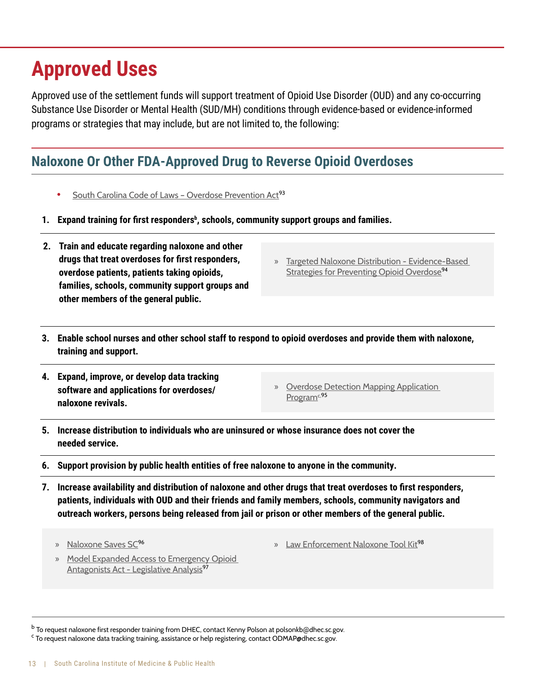# **Approved Uses**

Approved use of the settlement funds will support treatment of Opioid Use Disorder (OUD) and any co-occurring Substance Use Disorder or Mental Health (SUD/MH) conditions through evidence-based or evidence-informed programs or strategies that may include, but are not limited to, the following:

# **Naloxone Or Other FDA-Approved Drug to Reverse Opioid Overdoses**

- **South Carolina Code of Laws Overdose Prevention Act<sup>93</sup>**
- **1. Expand training for first responders<sup>b</sup> , schools, community support groups and families.**
- **2. Train and educate regarding naloxone and other drugs that treat overdoses for first responders, overdose patients, patients taking opioids, families, schools, community support groups and other members of the general public.**
- » [Targeted Naloxone Distribution Evidence-Based](https://www.cdc.gov/drugoverdose/featured-topics/evidence-based-strategies.html)  [Strategies for Preventing Opioid Overdose](https://www.cdc.gov/drugoverdose/featured-topics/evidence-based-strategies.html)<sup>94</sup>
- **3. Enable school nurses and other school staff to respond to opioid overdoses and provide them with naloxone, training and support.**
- **4. Expand, improve, or develop data tracking software and applications for overdoses/ naloxone revivals.**
- » [Overdose Detection Mapping Application](https://odmap.hidta.org/Account/Login?ReturnUrl=%2F)  [Program](https://odmap.hidta.org/Account/Login?ReturnUrl=%2F)<sup>c, 95</sup>
- **5. Increase distribution to individuals who are uninsured or whose insurance does not cover the needed service.**
- **6. Support provision by public health entities of free naloxone to anyone in the community.**
- **7. Increase availability and distribution of naloxone and other drugs that treat overdoses to first responders, patients, individuals with OUD and their friends and family members, schools, community navigators and outreach workers, persons being released from jail or prison or other members of the general public.**
	- » [Naloxone Saves SC](http://naloxonesavessc.org/)<sup>96</sup>
- » [Law Enforcement Naloxone Tool Kit](https://bjatta.bja.ojp.gov/tools/naloxone/Naloxone-Background)<sup>98</sup>
- » [Model Expanded Access to Emergency Opioid](http://legislativeanalysis.org/wp-content/uploads/2021/12/Model-Expanded-Access-to-Emergency-Opioid-Antagonists-Act-FINAL.pdf)  [Antagonists Act - Legislative Analysis](http://legislativeanalysis.org/wp-content/uploads/2021/12/Model-Expanded-Access-to-Emergency-Opioid-Antagonists-Act-FINAL.pdf)<sup>97</sup>

<sup>&</sup>lt;sup>b</sup> To request naloxone first responder training from DHEC, contact Kenny Polson at polsonkb@dhec.sc.gov.

<sup>&</sup>lt;sup>c</sup> To request naloxone data tracking training, assistance or help registering, contact ODMAP@dhec.sc.gov.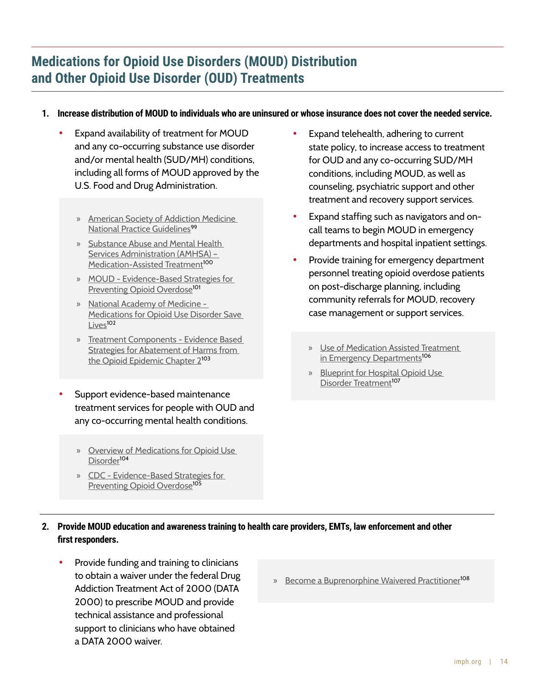# **Medications for Opioid Use Disorders (MOUD) Distribution and Other Opioid Use Disorder (OUD) Treatments**

#### **1. Increase distribution of MOUD to individuals who are uninsured or whose insurance does not cover the needed service.**

- Expand availability of treatment for MOUD and any co-occurring substance use disorder and/or mental health (SUD/MH) conditions, including all forms of MOUD approved by the U.S. Food and Drug Administration.
	- » [American Society of Addiction Medicine](https://www.asam.org/quality-care/clinical-guidelines/national-practice-guideline)  [National Practice Guidelines](https://www.asam.org/quality-care/clinical-guidelines/national-practice-guideline)<sup>99</sup>
	- » [Substance Abuse and Mental Health](https://www.samhsa.gov/medication-assisted-treatment/become-buprenorphine-waivered-practitioner)  [Services Administration \(AMHSA\) –](https://www.samhsa.gov/medication-assisted-treatment/become-buprenorphine-waivered-practitioner)  [Medication-Assisted Treatment](https://www.samhsa.gov/medication-assisted-treatment/become-buprenorphine-waivered-practitioner)<sup>100</sup>
	- » [MOUD Evidence-Based Strategies for](https://www.cdc.gov/drugoverdose/featured-topics/evidence-based-strategies.html)  [Preventing Opioid Overdose](https://www.cdc.gov/drugoverdose/featured-topics/evidence-based-strategies.html)<sup>101</sup>
	- » [National Academy of Medicine](https://www.nationalacademies.org/our-work/medication-assisted-treatment-for-opioid-use-disorder)  [Medications for Opioid Use Disorder Save](https://www.nationalacademies.org/our-work/medication-assisted-treatment-for-opioid-use-disorder)   $L<sub>iv</sub>e<sub>5</sub>102$
	- » [Treatment Components Evidence Based](https://www.lac.org/resource/evidence-based-strategies-for-abatement-of-harms-from-the-o)  [Strategies for Abatement of Harms from](https://www.lac.org/resource/evidence-based-strategies-for-abatement-of-harms-from-the-o)  [the Opioid Epidemic Chapter 2](https://www.lac.org/resource/evidence-based-strategies-for-abatement-of-harms-from-the-o)<sup>103</sup>
- Support evidence-based maintenance treatment services for people with OUD and any co-occurring mental health conditions.
	- » [Overview of Medications for Opioid Use](https://pcssnow.org/medications-for-opioid-use-disorder/)  [Disorder](https://pcssnow.org/medications-for-opioid-use-disorder/)<sup>104</sup>
	- » [CDC Evidence-Based Strategies for](https://www.cdc.gov/drugoverdose/pdf/pubs/2018-evidence-based-strategies.pdf)  [Preventing Opioid Overdose](https://www.cdc.gov/drugoverdose/pdf/pubs/2018-evidence-based-strategies.pdf)<sup>105</sup>
- Expand telehealth, adhering to current state policy, to increase access to treatment for OUD and any co-occurring SUD/MH conditions, including MOUD, as well as counseling, psychiatric support and other treatment and recovery support services.
- Expand staffing such as navigators and oncall teams to begin MOUD in emergency departments and hospital inpatient settings.
- Provide training for emergency department personnel treating opioid overdose patients on post-discharge planning, including community referrals for MOUD, recovery case management or support services.
	- » [Use of Medication Assisted Treatment](https://store.samhsa.gov/sites/default/files/SAMHSA_Digital_Download/pep21-pl-guide-5.pdf)  [in Emergency Departments](https://store.samhsa.gov/sites/default/files/SAMHSA_Digital_Download/pep21-pl-guide-5.pdf)<sup>106</sup>
	- » [Blueprint for Hospital Opioid Use](https://cabridge.org/resource/blueprint-for-hospital-opioid-use-disorder-treatment/)  [Disorder Treatment](https://cabridge.org/resource/blueprint-for-hospital-opioid-use-disorder-treatment/)<sup>107</sup>

#### **2. Provide MOUD education and awareness training to health care providers, EMTs, law enforcement and other first responders.**

- Provide funding and training to clinicians to obtain a waiver under the federal Drug Addiction Treatment Act of 2000 (DATA 2000) to prescribe MOUD and provide technical assistance and professional support to clinicians who have obtained a DATA 2000 waiver.
- » [Become a Buprenorphine Waivered Practitioner](https://www.samhsa.gov/medication-assisted-treatment/become-buprenorphine-waivered-practitioner)<sup>108</sup>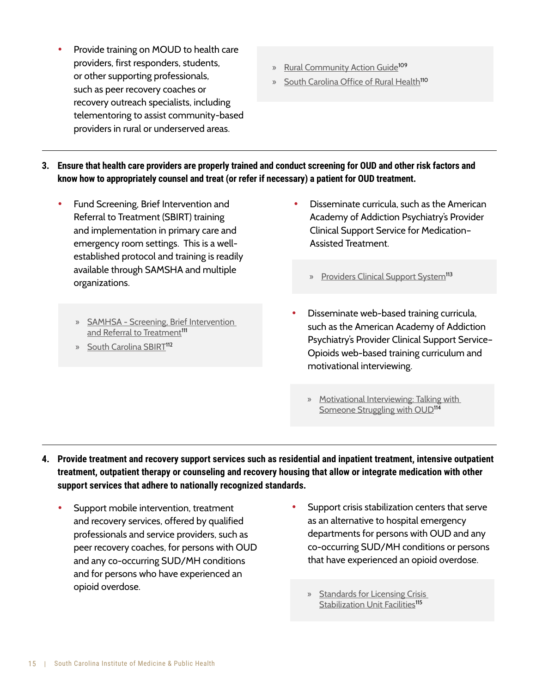- established protocol and training is readily available through SAMSHA and multiple organizations.
	- » [SAMHSA Screening, Brief Intervention](https://www.samhsa.gov/sbirt)  [and Referral to Treatment](https://www.samhsa.gov/sbirt)<sup>111</sup>

**•** Provide training on MOUD to health care providers, first responders, students, or other supporting professionals, such as peer recovery coaches or

recovery outreach specialists, including telementoring to assist community-based providers in rural or underserved areas.

**•** Fund Screening, Brief Intervention and Referral to Treatment (SBIRT) training and implementation in primary care and emergency room settings. This is a well-

» [South Carolina SBIRT](https://scsbirt.com/)<sup>112</sup>

- » [Rural Community Action Guide](https://www.usda.gov/sites/default/files/documents/rural-community-action-guide.pdf)<sup>109</sup>
- » [South Carolina Office of Rural Health](https://scorh.net/)<sup>110</sup>

- Disseminate curricula, such as the American Academy of Addiction Psychiatry's Provider Clinical Support Service for Medication– Assisted Treatment.
	- » [Providers Clinical Support System](https://pcssnow.org/)<sup>113</sup>
- Disseminate web-based training curricula, such as the American Academy of Addiction Psychiatry's Provider Clinical Support Service– Opioids web-based training curriculum and motivational interviewing.
	- » [Motivational Interviewing: Talking with](https://pcssnow.org/resource/motivational-interviewing-talking-with-someone-struggling-with-oud/)  [Someone Struggling with OUD](https://pcssnow.org/resource/motivational-interviewing-talking-with-someone-struggling-with-oud/)<sup>114</sup>
- **4. Provide treatment and recovery support services such as residential and inpatient treatment, intensive outpatient treatment, outpatient therapy or counseling and recovery housing that allow or integrate medication with other support services that adhere to nationally recognized standards.**

**3. Ensure that health care providers are properly trained and conduct screening for OUD and other risk factors and** 

**know how to appropriately counsel and treat (or refer if necessary) a patient for OUD treatment.**

- Support mobile intervention, treatment and recovery services, offered by qualified professionals and service providers, such as peer recovery coaches, for persons with OUD and any co-occurring SUD/MH conditions and for persons who have experienced an opioid overdose.
- Support crisis stabilization centers that serve as an alternative to hospital emergency departments for persons with OUD and any co-occurring SUD/MH conditions or persons that have experienced an opioid overdose.
	- » [Standards for Licensing Crisis](https://scdhec.gov/sites/default/files/Library/Regulations/R.61-125.pdf)  [Stabilization Unit Facilities](https://scdhec.gov/sites/default/files/Library/Regulations/R.61-125.pdf)<sup>115</sup>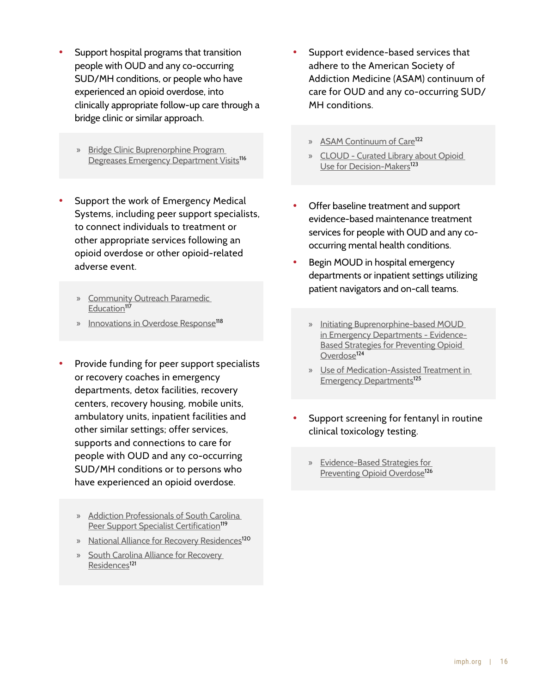- Support hospital programs that transition people with OUD and any co-occurring SUD/MH conditions, or people who have experienced an opioid overdose, into clinically appropriate follow-up care through a bridge clinic or similar approach.
	- » [Bridge Clinic Buprenorphine Program](https://www.sciencedirect.com/science/article/pii/S0740547221001367)  [Degreases Emergency Department Visits](https://www.sciencedirect.com/science/article/pii/S0740547221001367)<sup>116</sup>
- Support the work of Emergency Medical Systems, including peer support specialists, to connect individuals to treatment or other appropriate services following an opioid overdose or other opioid-related adverse event.
	- » [Community Outreach Paramedic](https://umbracosc.imagetrendelite.com/media/ck3c4atj/cope-information-paper.pdf)  [Education](https://umbracosc.imagetrendelite.com/media/ck3c4atj/cope-information-paper.pdf)<sup>117</sup>
	- » [Innovations in Overdose Response](https://nasemso.org/wp-content/uploads/EMS-Innovations-in-Overdose-Response-ASTHO.pdf)<sup>118</sup>
- Provide funding for peer support specialists or recovery coaches in emergency departments, detox facilities, recovery centers, recovery housing, mobile units, ambulatory units, inpatient facilities and other similar settings; offer services, supports and connections to care for people with OUD and any co-occurring SUD/MH conditions or to persons who have experienced an opioid overdose.
	- » [Addiction Professionals of South Carolina](https://addictionprofessionalsofsouthcarolina.org/peer-support-specialists-certification/)  [Peer Support Specialist Certification](https://addictionprofessionalsofsouthcarolina.org/peer-support-specialists-certification/)<sup>119</sup>
	- » [National Alliance for Recovery Residences](https://narronline.org/affiliate-services/standards-and-certification-program/)<sup>120</sup>
	- » [South Carolina Alliance for Recovery](https://scarronline.org/)  [Residences](https://scarronline.org/)<sup>121</sup>
- Support evidence-based services that adhere to the American Society of Addiction Medicine (ASAM) continuum of care for OUD and any co-occurring SUD/ MH conditions.
	- » [ASAM Continuum of Care](https://www.asam.org/asam-criteria/asam-criteria-software/asam-continuum?msclkid=c7e5982bd09c11eca22dea48246e07f0)<sup>122</sup>
	- » [CLOUD Curated Library about Opioid](https://www.opioidlibrary.org/)  [Use for Decision-Makers](https://www.opioidlibrary.org/)<sup>123</sup>
- Offer baseline treatment and support evidence-based maintenance treatment services for people with OUD and any cooccurring mental health conditions.
- Begin MOUD in hospital emergency departments or inpatient settings utilizing patient navigators and on-call teams.
	- » [Initiating Buprenorphine-based MOUD](https://www.cdc.gov/drugoverdose/featured-topics/evidence-based-strategies.html)  [in Emergency Departments - Evidence-](https://www.cdc.gov/drugoverdose/featured-topics/evidence-based-strategies.html)[Based Strategies for Preventing Opioid](https://www.cdc.gov/drugoverdose/featured-topics/evidence-based-strategies.html)  [Overdose](https://www.cdc.gov/drugoverdose/featured-topics/evidence-based-strategies.html)<sup>124</sup>
	- » [Use of Medication-Assisted Treatment in](https://www.samhsa.gov/resource/ebp/use-medication-assisted-treatment-emergency-departments)  [Emergency Departments](https://www.samhsa.gov/resource/ebp/use-medication-assisted-treatment-emergency-departments)<sup>125</sup>
- Support screening for fentanyl in routine clinical toxicology testing.
	- » [Evidence-Based Strategies for](https://www.cdc.gov/drugoverdose/featured-topics/evidence-based-strategies.html)  [Preventing Opioid Overdose](https://www.cdc.gov/drugoverdose/featured-topics/evidence-based-strategies.html)<sup>126</sup>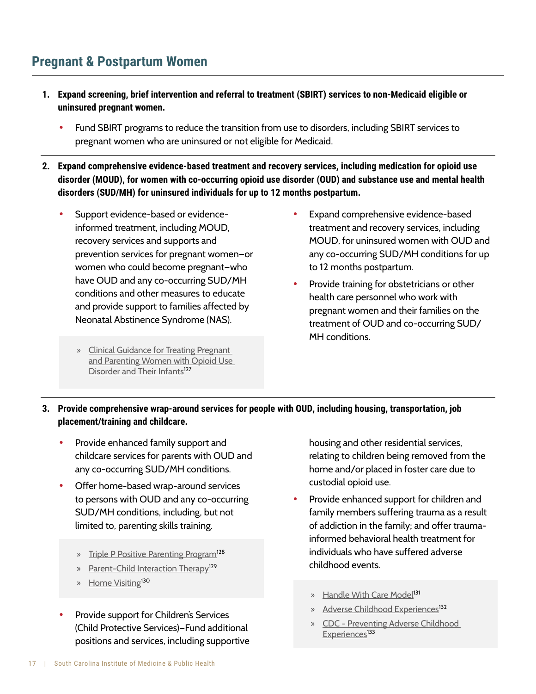## **Pregnant & Postpartum Women**

- **1. Expand screening, brief intervention and referral to treatment (SBIRT) services to non-Medicaid eligible or uninsured pregnant women.**
	- Fund SBIRT programs to reduce the transition from use to disorders, including SBIRT services to pregnant women who are uninsured or not eligible for Medicaid.
- **2. Expand comprehensive evidence-based treatment and recovery services, including medication for opioid use disorder (MOUD), for women with co-occurring opioid use disorder (OUD) and substance use and mental health disorders (SUD/MH) for uninsured individuals for up to 12 months postpartum.**
	- Support evidence-based or evidenceinformed treatment, including MOUD, recovery services and supports and prevention services for pregnant women—or women who could become pregnant—who have OUD and any co-occurring SUD/MH conditions and other measures to educate and provide support to families affected by Neonatal Abstinence Syndrome (NAS).
		- » [Clinical Guidance for Treating Pregnant](https://store.samhsa.gov/sites/default/files/d7/priv/sma18-5054.pdf)  [and Parenting Women with Opioid Use](https://store.samhsa.gov/sites/default/files/d7/priv/sma18-5054.pdf)  [Disorder and Their Infants](https://store.samhsa.gov/sites/default/files/d7/priv/sma18-5054.pdf)<sup>127</sup>
- Expand comprehensive evidence-based treatment and recovery services, including MOUD, for uninsured women with OUD and any co-occurring SUD/MH conditions for up to 12 months postpartum.
- Provide training for obstetricians or other health care personnel who work with pregnant women and their families on the treatment of OUD and co-occurring SUD/ MH conditions.

#### **3. Provide comprehensive wrap-around services for people with OUD, including housing, transportation, job placement/training and childcare.**

- Provide enhanced family support and childcare services for parents with OUD and any co-occurring SUD/MH conditions.
- Offer home-based wrap-around services to persons with OUD and any co-occurring SUD/MH conditions, including, but not limited to, parenting skills training.
	- » [Triple P Positive Parenting Program](https://www.blueprintsprograms.org/programs/463999999/triple-p-system/)<sup>128</sup>
	- » [Parent-Child Interaction Therapy](https://www.childwelfare.gov/pubpdfs/f_interactbulletin.pdf)<sup>129</sup>
	- » [Home Visiting](https://scchildren.org/programs/home-visiting/)<sup>130</sup>
- Provide support for Children's Services (Child Protective Services)—Fund additional positions and services, including supportive

housing and other residential services, relating to children being removed from the home and/or placed in foster care due to custodial opioid use.

- Provide enhanced support for children and family members suffering trauma as a result of addiction in the family; and offer traumainformed behavioral health treatment for individuals who have suffered adverse childhood events.
	- » [Handle With Care Model](http://handlewithcarewv.org/)<sup>131</sup>
	- » [Adverse Childhood Experiences](https://scchildren.org/resources/adverse-childhood-experiences/)<sup>132</sup>
	- » [CDC Preventing Adverse Childhood](https://www.cdc.gov/violenceprevention/aces/fastfact.html)  [Experiences](https://www.cdc.gov/violenceprevention/aces/fastfact.html)<sup>133</sup>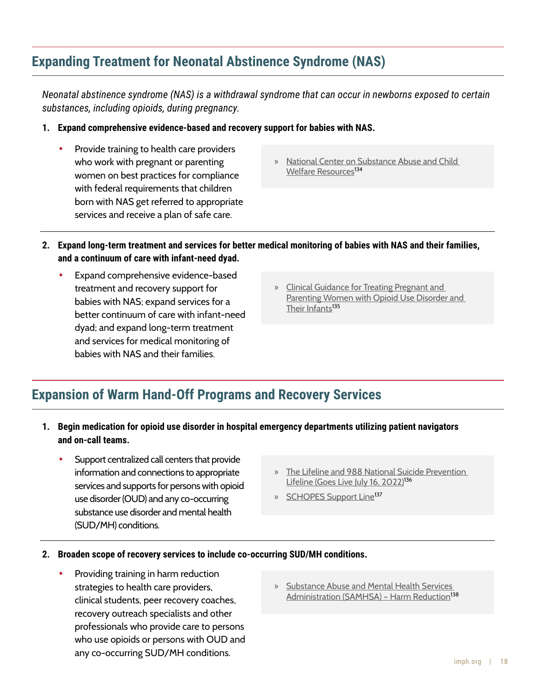## **Expanding Treatment for Neonatal Abstinence Syndrome (NAS)**

*Neonatal abstinence syndrome (NAS) is a withdrawal syndrome that can occur in newborns exposed to certain substances, including opioids, during pregnancy.*

- **1. Expand comprehensive evidence-based and recovery support for babies with NAS.**
	- Provide training to health care providers who work with pregnant or parenting women on best practices for compliance with federal requirements that children born with NAS get referred to appropriate services and receive a plan of safe care.
- » [National Center on Substance Abuse and Child](https://ncsacw.acf.hhs.gov/topics/neonatal-abstinence-syndrome.aspx)  [Welfare Resources](https://ncsacw.acf.hhs.gov/topics/neonatal-abstinence-syndrome.aspx)<sup>13[4](https://www.cdc.gov/drugoverdose/featured-topics/evidence-based-strategies.html)</sup>
- **2. Expand long-term treatment and services for better medical monitoring of babies with NAS and their families, and a continuum of care with infant-need dyad.**
	- Expand comprehensive evidence-based treatment and recovery support for babies with NAS; expand services for a better continuum of care with infant-need dyad; and expand long-term treatment and services for medical monitoring of babies with NAS and their families.
- » [Clinical Guidance for Treating Pregnant and](https://store.samhsa.gov/product/Clinical-Guidance-for-Treating-Pregnant-and-Parenting-Women-With-Opioid-Use-Disorder-and-Their-Infants/SMA18-5054)  [Parenting Women with Opioid Use Disorder and](https://store.samhsa.gov/product/Clinical-Guidance-for-Treating-Pregnant-and-Parenting-Women-With-Opioid-Use-Disorder-and-Their-Infants/SMA18-5054)  [Their Infants](https://store.samhsa.gov/product/Clinical-Guidance-for-Treating-Pregnant-and-Parenting-Women-With-Opioid-Use-Disorder-and-Their-Infants/SMA18-5054)<sup>135</sup>

## **Expansion of Warm Hand-Off Programs and Recovery Services**

- **1. Begin medication for opioid use disorder in hospital emergency departments utilizing patient navigators and on-call teams.**
	- Support centralized call centers that provide information and connections to appropriate services and supports for persons with opioid use disorder (OUD) and any co-occurring substance use disorder and mental health (SUD/MH) conditions.
- » [The Lifeline and 988 National Suicide Prevention](https://suicidepreventionlifeline.org/current-events/the-lifeline-and-988/)  [Lifeline \(Goes Live July 16, 2022\)](https://suicidepreventionlifeline.org/current-events/the-lifeline-and-988/)<sup>136</sup>
- » [SCHOPES Support Line](https://sc-hopes.com/)<sup>137</sup>
- **2. Broaden scope of recovery services to include co-occurring SUD/MH conditions.**
	- Providing training in harm reduction strategies to health care providers, clinical students, peer recovery coaches, recovery outreach specialists and other professionals who provide care to persons who use opioids or persons with OUD and any co-occurring SUD/MH conditions.
- » [Substance Abuse and Mental Health Services](https://www.samhsa.gov/find-help/harm-reduction)  Administration (SAMHSA) - Harm Reduction<sup>138</sup>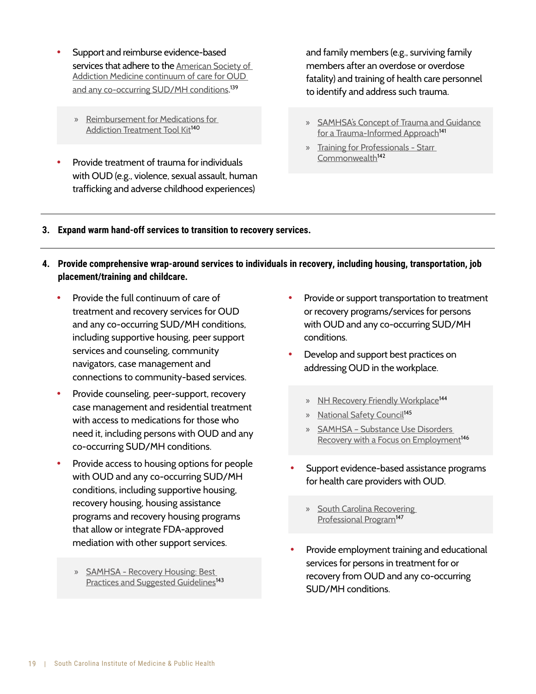- Support and reimburse evidence-based services that adhere to the [American Society of](https://sitefinitystorage.blob.core.windows.net/sitefinity-production-blobs/docs/default-source/guidelines/npg-jam-supplement.pdf?sfvrsn=a00a52c2_2)  [Addiction Medicine continuum of care for OUD](https://sitefinitystorage.blob.core.windows.net/sitefinity-production-blobs/docs/default-source/guidelines/npg-jam-supplement.pdf?sfvrsn=a00a52c2_2)  [and any co-occurring SUD/MH conditions](https://sitefinitystorage.blob.core.windows.net/sitefinity-production-blobs/docs/default-source/guidelines/npg-jam-supplement.pdf?sfvrsn=a00a52c2_2). 139
	- » [Reimbursement for Medications for](https://pcssnow.org/wp-content/uploads/2021/07/Reimbursement-Toolkit.pdf)  [Addiction Treatment Tool Kit](https://pcssnow.org/wp-content/uploads/2021/07/Reimbursement-Toolkit.pdf)<sup>140</sup>
- Provide treatment of trauma for individuals with OUD (e.g., violence, sexual assault, human trafficking and adverse childhood experiences)

and family members (e.g., surviving family members after an overdose or overdose fatality) and training of health care personnel to identify and address such trauma.

- » [SAMHSA's Concept of Trauma and Guidance](https://store.samhsa.gov/sites/default/files/d7/priv/sma14-4884.pdf)  [for a Trauma-Informed Approach](https://store.samhsa.gov/sites/default/files/d7/priv/sma14-4884.pdf)<sup>141</sup>
- » [Training for Professionals Starr](https://starr.org/)  [Commonwealth](https://starr.org/)<sup>142</sup>
- **3. Expand warm hand-off services to transition to recovery services.**
- **4. Provide comprehensive wrap-around services to individuals in recovery, including housing, transportation, job placement/training and childcare.**
	- Provide the full continuum of care of treatment and recovery services for OUD and any co-occurring SUD/MH conditions, including supportive housing, peer support services and counseling, community navigators, case management and connections to community-based services.
	- Provide counseling, peer-support, recovery case management and residential treatment with access to medications for those who need it, including persons with OUD and any co-occurring SUD/MH conditions.
	- Provide access to housing options for people with OUD and any co-occurring SUD/MH conditions, including supportive housing, recovery housing, housing assistance programs and recovery housing programs that allow or integrate FDA-approved mediation with other support services.
		- » [SAMHSA Recovery Housing: Best](https://www.samhsa.gov/resource/ebp/recovery-housing-best-practices-suggested-guidelines)  [Practices and Suggested Guidelines](https://www.samhsa.gov/resource/ebp/recovery-housing-best-practices-suggested-guidelines)<sup>143</sup>
- Provide or support transportation to treatment or recovery programs/services for persons with OUD and any co-occurring SUD/MH conditions.
- Develop and support best practices on addressing OUD in the workplace.
	- » [NH Recovery Friendly Workplace](https://www.recoveryfriendlyworkplace.com/)<sup>144</sup>
	- » [National Safety Council](https://www.nsc.org/workplacedruguse)<sup>145</sup>
	- » [SAMHSA Substance Use Disorders](https://www.samhsa.gov/resource/ebp/substance-use-disorders-recovery-focus-employment)  [Recovery with a Focus on Employment](https://www.samhsa.gov/resource/ebp/substance-use-disorders-recovery-focus-employment)<sup>146</sup>
- Support evidence-based assistance programs for health care providers with OUD.
	- » [South Carolina Recovering](https://scrpp.org/)  [Professional Program](https://scrpp.org/)<sup>147</sup>
- Provide employment training and educational services for persons in treatment for or recovery from OUD and any co-occurring SUD/MH conditions.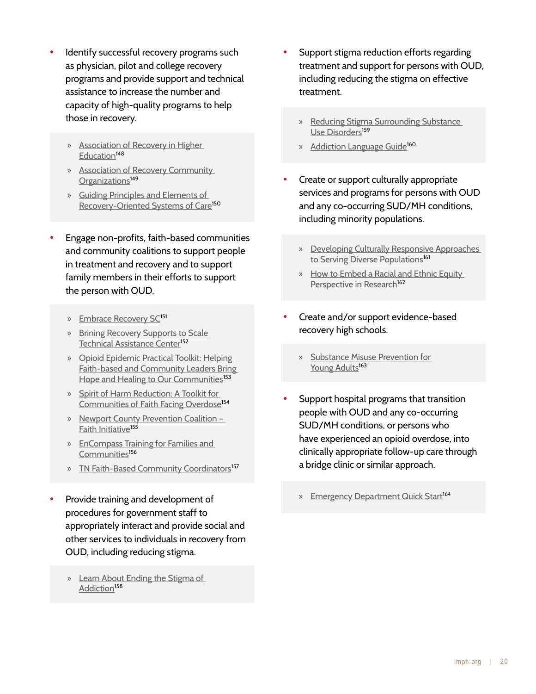- Identify successful recovery programs such as physician, pilot and college recovery programs and provide support and technical assistance to increase the number and capacity of high-quality programs to help those in recovery.
	- » [Association of Recovery in Higher](https://collegiaterecovery.org/)  [Education](https://collegiaterecovery.org/)<sup>148</sup>
	- » [Association of Recovery Community](https://facesandvoicesofrecovery.org/services/arco/)  [Organizations](https://facesandvoicesofrecovery.org/services/arco/)<sup>149</sup>
	- » [Guiding Principles and Elements of](https://www.naadac.org/assets/2416/sheedyckwhitterm2009_guiding_principles_and_elements.pdf)  [Recovery-Oriented Systems of Care](https://www.naadac.org/assets/2416/sheedyckwhitterm2009_guiding_principles_and_elements.pdf)<sup>150</sup>
- Engage non-profits, faith-based communities and community coalitions to support people in treatment and recovery and to support family members in their efforts to support the person with OUD.
	- » [Embrace Recovery SC](https://embracerecoverysc.com/)<sup>151</sup>
	- » [Brining Recovery Supports to Scale](https://www.samhsa.gov/brss-tacs)  [Technical Assistance Center](https://www.samhsa.gov/brss-tacs)<sup>152</sup>
	- » [Opioid Epidemic Practical Toolkit: Helping](https://www.hhs.gov/sites/default/files/hhs-partnership-ctr-opioid-practical-toolkit-unremediated.pdf)  [Faith-based and Community Leaders Bring](https://www.hhs.gov/sites/default/files/hhs-partnership-ctr-opioid-practical-toolkit-unremediated.pdf)  [Hope and Healing to Our Communities](https://www.hhs.gov/sites/default/files/hhs-partnership-ctr-opioid-practical-toolkit-unremediated.pdf)<sup>153</sup>
	- » [Spirit of Harm Reduction: A Toolkit for](https://www.opioidlibrary.org/external_website/spirit-of-harm-reduction-a-toolkit-for-communities-of-faith-facing-overdose/)  [Communities of Faith Facing Overdose](https://www.opioidlibrary.org/external_website/spirit-of-harm-reduction-a-toolkit-for-communities-of-faith-facing-overdose/)<sup>154</sup>
	- » [Newport County Prevention Coalition](https://newportcountyprevention.org/faith-initiative/)  [Faith Initiative](https://newportcountyprevention.org/faith-initiative/)<sup>155</sup>
	- » [EnCompass Training for Families and](https://www.addictionpolicy.org/encompass-ohio)  [Communities](https://www.addictionpolicy.org/encompass-ohio)<sup>156</sup>
	- » [TN Faith-Based Community Coordinators](https://www.tn.gov/behavioral-health/substance-abuse-services/faith-based-initiatives/faith-based-community-coordinators.html)<sup>157</sup>
- Provide training and development of procedures for government staff to appropriately interact and provide social and other services to individuals in recovery from OUD, including reducing stigma.
	- » [Learn About Ending the Stigma of](https://www.shatterproof.org/our-work/ending-addiction-stigma)  [Addiction](https://www.shatterproof.org/our-work/ending-addiction-stigma)<sup>158</sup>
- Support stigma reduction efforts regarding treatment and support for persons with OUD, including reducing the stigma on effective treatment.
	- » [Reducing Stigma Surrounding Substance](https://www.opioidlibrary.org/featured_collection/reducing-stigma-surrounding-substance-use-disorders/)  [Use Disorders](https://www.opioidlibrary.org/featured_collection/reducing-stigma-surrounding-substance-use-disorders/)<sup>159</sup>
	- » [Addiction Language Guide](https://www.shatterproof.org/sites/default/files/2021-02/Stigma-AddictionLanguageGuide-v3.pdf)<sup>160</sup>
- Create or support culturally appropriate services and programs for persons with OUD and any co-occurring SUD/MH conditions, including minority populations.
	- » [Developing Culturally Responsive Approaches](https://www.hispanicresearchcenter.org/research-resources/developing-culturally-responsive-approaches-to-serving-diverse-populations-a-resource-guide-for-community-based-organizations/)  [to Serving Diverse Populations](https://www.hispanicresearchcenter.org/research-resources/developing-culturally-responsive-approaches-to-serving-diverse-populations-a-resource-guide-for-community-based-organizations/)<sup>161</sup>
	- » [How to Embed a Racial and Ethnic Equity](https://www.childtrends.org/wp-content/uploads/2019/09/RacialEthnicEquityPerspective_ChildTrends_October2019.pdf)  [Perspective in Research](https://www.childtrends.org/wp-content/uploads/2019/09/RacialEthnicEquityPerspective_ChildTrends_October2019.pdf)<sup>162</sup>
- Create and/or support evidence-based recovery high schools.
	- » [Substance Misuse Prevention for](https://store.samhsa.gov/sites/default/files/d7/priv/pep19-pl-guide-1.pdf)  [Young Adults](https://store.samhsa.gov/sites/default/files/d7/priv/pep19-pl-guide-1.pdf)<sup>163</sup>
- Support hospital programs that transition people with OUD and any co-occurring SUD/MH conditions, or persons who have experienced an opioid overdose, into clinically appropriate follow-up care through a bridge clinic or similar approach.
	- » [Emergency Department Quick Start](https://cabridge.org/resource/buprenorphine-bup-hospital-quick-start/)<sup>164</sup>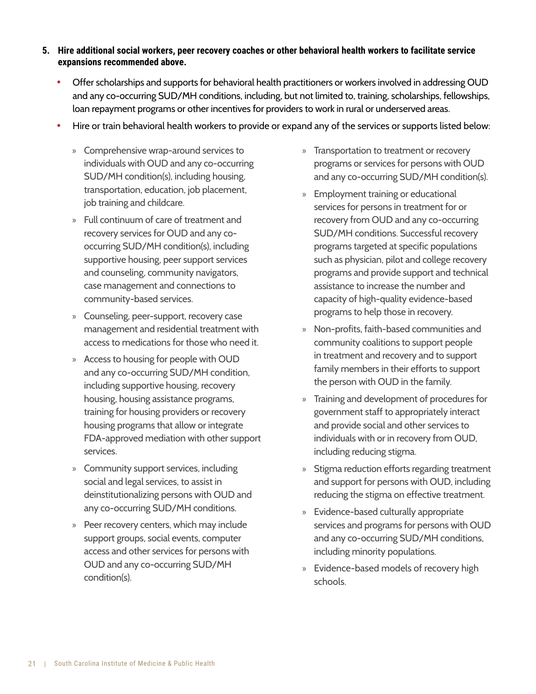#### **5. Hire additional social workers, peer recovery coaches or other behavioral health workers to facilitate service expansions recommended above.**

- Offer scholarships and supports for behavioral health practitioners or workers involved in addressing OUD and any co-occurring SUD/MH conditions, including, but not limited to, training, scholarships, fellowships, loan repayment programs or other incentives for providers to work in rural or underserved areas.
- Hire or train behavioral health workers to provide or expand any of the services or supports listed below:
	- » Comprehensive wrap-around services to individuals with OUD and any co-occurring SUD/MH condition(s), including housing, transportation, education, job placement, job training and childcare.
	- » Full continuum of care of treatment and recovery services for OUD and any cooccurring SUD/MH condition(s), including supportive housing, peer support services and counseling, community navigators, case management and connections to community-based services.
	- » Counseling, peer-support, recovery case management and residential treatment with access to medications for those who need it.
	- » Access to housing for people with OUD and any co-occurring SUD/MH condition, including supportive housing, recovery housing, housing assistance programs, training for housing providers or recovery housing programs that allow or integrate FDA-approved mediation with other support services.
	- » Community support services, including social and legal services, to assist in deinstitutionalizing persons with OUD and any co-occurring SUD/MH conditions.
	- » Peer recovery centers, which may include support groups, social events, computer access and other services for persons with OUD and any co-occurring SUD/MH condition(s).
- » Transportation to treatment or recovery programs or services for persons with OUD and any co-occurring SUD/MH condition(s).
- » Employment training or educational services for persons in treatment for or recovery from OUD and any co-occurring SUD/MH conditions. Successful recovery programs targeted at specific populations such as physician, pilot and college recovery programs and provide support and technical assistance to increase the number and capacity of high-quality evidence-based programs to help those in recovery.
- » Non-profits, faith-based communities and community coalitions to support people in treatment and recovery and to support family members in their efforts to support the person with OUD in the family.
- » Training and development of procedures for government staff to appropriately interact and provide social and other services to individuals with or in recovery from OUD, including reducing stigma.
- » Stigma reduction efforts regarding treatment and support for persons with OUD, including reducing the stigma on effective treatment.
- » Evidence-based culturally appropriate services and programs for persons with OUD and any co-occurring SUD/MH conditions, including minority populations.
- » Evidence-based models of recovery high schools.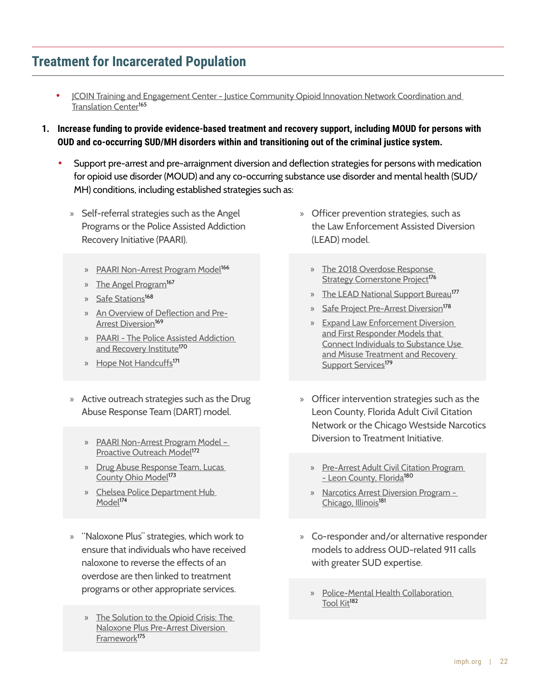# **Treatment for Incarcerated Population**

- [JCOIN Training and Engagement Center Justice Community Opioid Innovation Network Coordination and](https://www.jcoinctc.org/jtec/)  [Translation Center](https://www.jcoinctc.org/jtec/)<sup>165</sup>
- **1. Increase funding to provide evidence-based treatment and recovery support, including MOUD for persons with OUD and co-occurring SUD/MH disorders within and transitioning out of the criminal justice system.**
	- Support pre-arrest and pre-arraignment diversion and deflection strategies for persons with medication for opioid use disorder (MOUD) and any co-occurring substance use disorder and mental health (SUD/ MH) conditions, including established strategies such as:
		- » Self-referral strategies such as the Angel Programs or the Police Assisted Addiction Recovery Initiative (PAARI).
			- » [PAARI Non-Arrest Program Model](https://vimeo.com/455929957)<sup>166</sup>
			- » [The Angel Program](https://www.publichealthpost.org/research/angel-program-short-term-angels-for-opioid-users/#:~:text=The%20Angel%20Program%20was%20one%20of%20the%20first,from%20the%20police%20department%20are%20referred%20to%20care)<sup>167</sup>
			- » [Safe Stations](https://www.hidtaprogram.org/pdf/cornerstone_2018.pdf)<sup>168</sup>
			- » [An Overview of Deflection and Pre-](https://www.thenationalcouncil.org/wp-content/uploads/2022/02/NC_1_DPAD_Overview_Pre-ArrestDiversion.pdf)[Arrest Diversion](https://www.thenationalcouncil.org/wp-content/uploads/2022/02/NC_1_DPAD_Overview_Pre-ArrestDiversion.pdf)<sup>169</sup>
			- » [PAARI The Police Assisted Addiction](https://paariusa.org/)  [and Recovery Institute](https://paariusa.org/)<sup>170</sup>
			- » [Hope Not Handcuffs](https://www.familiesagainstnarcotics.org/hopenothandcuffs)<sup>[1](https://www.cdc.gov/drugoverdose/featured-topics/evidence-based-strategies.html)71</sup>
		- » Active outreach strategies such as the Drug Abuse Response Team (DART) model.
			- » [PAARI Non-Arrest Program Model](https://vimeo.com/455929957)  [Proactive Outreach Model](https://vimeo.com/455929957)<sup>172</sup>
			- » [Drug Abuse Response Team, Lucas](https://www.cossapresources.org/Content/Documents/Diversion_Library/Lucas_County_DART_Presentation_2019_508.pdf)  [County Ohio Model](https://www.cossapresources.org/Content/Documents/Diversion_Library/Lucas_County_DART_Presentation_2019_508.pdf)<sup>173</sup>
			- » [Chelsea Police Department Hub](https://paariusa.org/2018/12/27/video-the-chelsea-hub/)  [Model](https://paariusa.org/2018/12/27/video-the-chelsea-hub/)<sup>17[4](https://www.cdc.gov/drugoverdose/featured-topics/evidence-based-strategies.html)</sup>
		- » "Naloxone Plus" strategies, which work to ensure that individuals who have received naloxone to reverse the effects of an overdose are then linked to treatment programs or other appropriate services.
			- » [The Solution to the Opioid Crisis: The](https://www.opioidlibrary.org/wp-content/uploads/2019/08/PTACC_Presentation.pdf)  [Naloxone Plus Pre-Arrest Diversion](https://www.opioidlibrary.org/wp-content/uploads/2019/08/PTACC_Presentation.pdf)  [Framework](https://www.opioidlibrary.org/wp-content/uploads/2019/08/PTACC_Presentation.pdf)<sup>175</sup>
- » Officer prevention strategies, such as the Law Enforcement Assisted Diversion (LEAD) model.
	- » [The 2018 Overdose Response](https://www.hidtaprogram.org/pdf/cornerstone_2018.pdf)  [Strategy Cornerstone Project](https://www.hidtaprogram.org/pdf/cornerstone_2018.pdf)<sup>176</sup>
	- » [The LEAD National Support Bureau](https://www.leadbureau.org/)<sup>177</sup>
	- » [Safe Project Pre-Arrest Diversion](https://www.safeproject.us/law-enforcement-pre-arrest-diversion/)<sup>178</sup>
	- » [Expand Law Enforcement Diversion](https://www.cossapresources.org/Focus/Diversion)  [and First Responder Models that](https://www.cossapresources.org/Focus/Diversion)  [Connect Individuals to Substance Use](https://www.cossapresources.org/Focus/Diversion)  [and Misuse Treatment and Recovery](https://www.cossapresources.org/Focus/Diversion)  [Support Services](https://www.cossapresources.org/Focus/Diversion)<sup>179</sup>
- » Officer intervention strategies such as the Leon County, Florida Adult Civil Citation Network or the Chicago Westside Narcotics Diversion to Treatment Initiative.
	- » [Pre-Arrest Adult Civil Citation Program](http://smartjusticealliance.org/adult-civil-citations-program-announced/)  [- Leon County, Florida](http://smartjusticealliance.org/adult-civil-citations-program-announced/)<sup>180</sup>
	- » [Narcotics Arrest Diversion Program](https://www.chicago.gov/city/en/depts/cdph/provdrs/health_protection_and_response/news/2021/july/cpd-cdph-expansion-of-arrest-diversion-program.html)  [Chicago, Illinois](https://www.chicago.gov/city/en/depts/cdph/provdrs/health_protection_and_response/news/2021/july/cpd-cdph-expansion-of-arrest-diversion-program.html)<sup>[1](https://www.cdc.gov/drugoverdose/featured-topics/evidence-based-strategies.html)81</sup>
- » Co-responder and/or alternative responder models to address OUD-related 911 calls with greater SUD expertise.
	- » [Police-Mental Health Collaboration](https://bja.ojp.gov/program/pmhc/learning)  [Tool Kit](https://bja.ojp.gov/program/pmhc/learning)<sup>182</sup>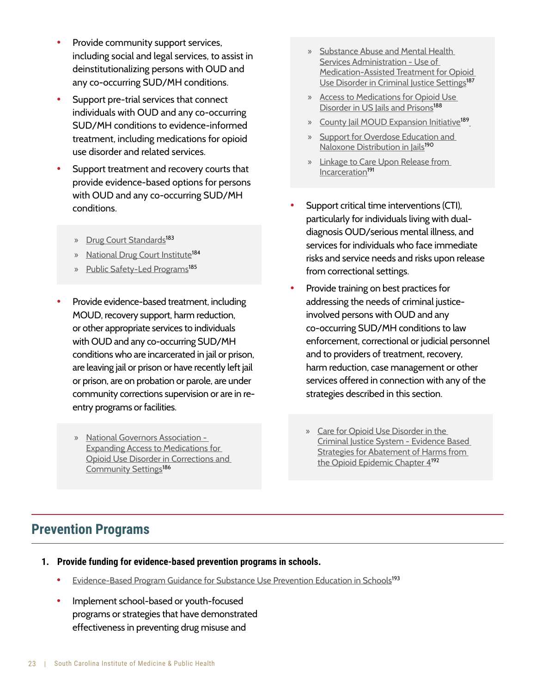- Provide community support services, including social and legal services, to assist in deinstitutionalizing persons with OUD and any co-occurring SUD/MH conditions.
- Support pre-trial services that connect individuals with OUD and any co-occurring SUD/MH conditions to evidence-informed treatment, including medications for opioid use disorder and related services.
- Support treatment and recovery courts that provide evidence-based options for persons with OUD and any co-occurring SUD/MH conditions.
	- » [Drug Court Standards](https://www.nadcp.org/standards/)<sup>183</sup>
	- » [National Drug Court Institute](https://www.ndci.org/)<sup>184</sup>
	- » [Public Safety-Led Programs](https://www.hidtaprogram.org/pdf/cornerstone_2018.pdf)<sup>185</sup>
- Provide evidence-based treatment, including MOUD, recovery support, harm reduction, or other appropriate services to individuals with OUD and any co-occurring SUD/MH conditions who are incarcerated in jail or prison, are leaving jail or prison or have recently left jail or prison, are on probation or parole, are under community corrections supervision or are in reentry programs or facilities.
	- » [National Governors Association](https://www.nga.org/center/publications/expanding-access-medications-oud-corrections-community-settings/)  [Expanding Access to Medications for](https://www.nga.org/center/publications/expanding-access-medications-oud-corrections-community-settings/)  [Opioid Use Disorder in Corrections and](https://www.nga.org/center/publications/expanding-access-medications-oud-corrections-community-settings/)  [Community Settings](https://www.nga.org/center/publications/expanding-access-medications-oud-corrections-community-settings/)<sup>186</sup>
- » [Substance Abuse and Mental Health](https://www.samhsa.gov/resource/ebp/use-medication-assisted-treatment-opioid-use-disorder-criminal-justice-settings)  Services Administration - Use of [Medication-Assisted Treatment for Opioid](https://www.samhsa.gov/resource/ebp/use-medication-assisted-treatment-opioid-use-disorder-criminal-justice-settings)  [Use Disorder in Criminal Justice Settings](https://www.samhsa.gov/resource/ebp/use-medication-assisted-treatment-opioid-use-disorder-criminal-justice-settings)<sup>187</sup>
- » [Access to Medications for Opioid Use](https://oneill.law.georgetown.edu/wp-content/uploads/2021/07/National-Snapshot-Access-to-Medications-for-Opioid-Use-Disorder-in-U.S.-Jails-and-Prisons.pdf)  [Disorder in US Jails and Prisons](https://oneill.law.georgetown.edu/wp-content/uploads/2021/07/National-Snapshot-Access-to-Medications-for-Opioid-Use-Disorder-in-U.S.-Jails-and-Prisons.pdf)<sup>188</sup>
- » [County Jail MOUD Expansion Initiative](https://www.healthmanagement.com/pajailmoud/)<sup>189</sup>
- » [Support for Overdose Education and](https://www.ncchc.org/?s=o%09Support+for+Overdose+Education+and+Naloxone+Distribution+in+Jails)  [Naloxone Distribution in Jails](https://www.ncchc.org/?s=o%09Support+for+Overdose+Education+and+Naloxone+Distribution+in+Jails)<sup>190</sup>
- » [Linkage to Care Upon Release from](https://www.hidtaprogram.org/pdf/cornerstone_2018.pdf)  [Incarceration](https://www.hidtaprogram.org/pdf/cornerstone_2018.pdf)<sup>191</sup>
- Support critical time interventions (CTI), particularly for individuals living with dualdiagnosis OUD/serious mental illness, and services for individuals who face immediate risks and service needs and risks upon release from correctional settings.
- Provide training on best practices for addressing the needs of criminal justiceinvolved persons with OUD and any co-occurring SUD/MH conditions to law enforcement, correctional or judicial personnel and to providers of treatment, recovery, harm reduction, case management or other services offered in connection with any of the strategies described in this section.
	- » [Care for Opioid Use Disorder in the](https://www.lac.org/resource/evidence-based-strategies-for-abatement-of-harms-from-the-o)  [Criminal Justice System - Evidence Based](https://www.lac.org/resource/evidence-based-strategies-for-abatement-of-harms-from-the-o)  [Strategies for Abatement of Harms from](https://www.lac.org/resource/evidence-based-strategies-for-abatement-of-harms-from-the-o)  [the Opioid Epidemic Chapter 4](https://www.lac.org/resource/evidence-based-strategies-for-abatement-of-harms-from-the-o)<sup>192</sup>

## **Prevention Programs**

- **1. Provide funding for evidence-based prevention programs in schools.**
	- **[Evidence-Based Program Guidance for Substance Use Prevention Education in Schools](http://www.nysed.gov/common/nysed/files/programs/curriculum-instruction/evidence-based-program-guidance-substance-use-prevention-education-schools.pdf)<sup>193</sup>**
	- Implement school-based or youth-focused programs or strategies that have demonstrated effectiveness in preventing drug misuse and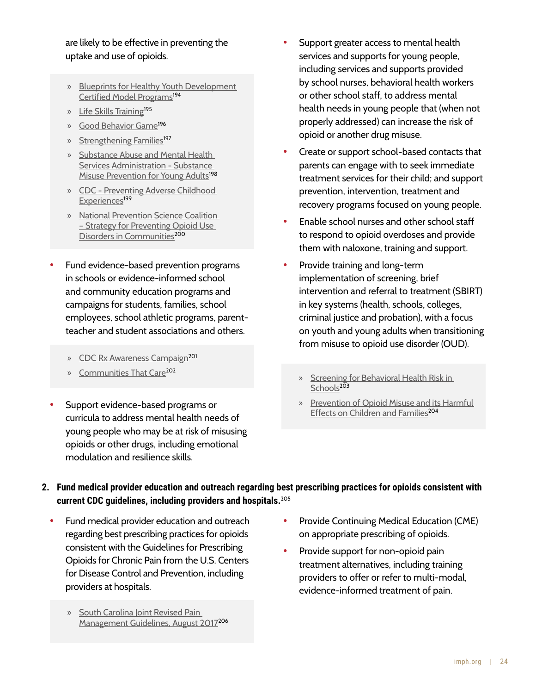#### are likely to be effective in preventing the uptake and use of opioids.

- » [Blueprints for Healthy Youth Development](https://www.blueprintsprograms.org/program-search/)  [Certified Model Programs](https://www.blueprintsprograms.org/program-search/)<sup>194</sup>
- » [Life Skills Training](https://www.lifeskillstraining.com/)<sup>195</sup>
- » [Good Behavior Game](https://www.air.org/resource/spotlight/good-behavior-game)<sup>196</sup>
- » [Strengthening Families](https://strengtheningfamiliesprogram.org/)<sup>197</sup>
- » [Substance Abuse and Mental Health](https://store.samhsa.gov/sites/default/files/d7/priv/pep19-pl-guide-1.pdf)  [Services Administration - Substance](https://store.samhsa.gov/sites/default/files/d7/priv/pep19-pl-guide-1.pdf)  [Misuse Prevention for Young Adults](https://store.samhsa.gov/sites/default/files/d7/priv/pep19-pl-guide-1.pdf)<sup>198</sup>
- » [CDC Preventing Adverse Childhood](https://www.cdc.gov/violenceprevention/pdf/preventingACES.pdf)  [Experiences](https://www.cdc.gov/violenceprevention/pdf/preventingACES.pdf)<sup>199</sup>
- » [National Prevention Science Coalition](https://www.npscoalition.org/post/strategy-for-preventing-opioid-use-disorders-in-communities?fbclid=IwAR0Yca4zBhTI5-j89BBwM3YCnmZtRDAyJ31WRpG-jKZQLLNdb87mc-14KdM)  [– Strategy for Preventing Opioid Use](https://www.npscoalition.org/post/strategy-for-preventing-opioid-use-disorders-in-communities?fbclid=IwAR0Yca4zBhTI5-j89BBwM3YCnmZtRDAyJ31WRpG-jKZQLLNdb87mc-14KdM)  [Disorders in Communities](https://www.npscoalition.org/post/strategy-for-preventing-opioid-use-disorders-in-communities?fbclid=IwAR0Yca4zBhTI5-j89BBwM3YCnmZtRDAyJ31WRpG-jKZQLLNdb87mc-14KdM)<sup>200</sup>
- Fund evidence-based prevention programs in schools or evidence-informed school and community education programs and campaigns for students, families, school employees, school athletic programs, parentteacher and student associations and others.
	- » [CDC Rx Awareness Campaign](https://www.cdc.gov/rxawareness/index.html)<sup>201</sup>
	- » [Communities That Care](https://www.communitiesthatcare.net/)<sup>202</sup>
- Support evidence-based programs or curricula to address mental health needs of young people who may be at risk of misusing opioids or other drugs, including emotional modulation and resilience skills.
- Support greater access to mental health services and supports for young people, including services and supports provided by school nurses, behavioral health workers or other school staff, to address mental health needs in young people that (when not properly addressed) can increase the risk of opioid or another drug misuse.
- Create or support school-based contacts that parents can engage with to seek immediate treatment services for their child; and support prevention, intervention, treatment and recovery programs focused on young people.
- Enable school nurses and other school staff to respond to opioid overdoses and provide them with naloxone, training and support.
- Provide training and long-term implementation of screening, brief intervention and referral to treatment (SBIRT) in key systems (health, schools, colleges, criminal justice and probation), with a focus on youth and young adults when transitioning from misuse to opioid use disorder (OUD).
	- » [Screening for Behavioral Health Risk in](https://www.samhsa.gov/resource/ebp/ready-set-go-review-screening-behavioral-health-risk-schools)  [Schools](https://www.samhsa.gov/resource/ebp/ready-set-go-review-screening-behavioral-health-risk-schools) $203$
	- » [Prevention of Opioid Misuse and its Harmful](https://www.lac.org/resource/evidence-based-strategies-for-abatement-of-harms-from-the-o)  [Effects on Children and Families](https://www.lac.org/resource/evidence-based-strategies-for-abatement-of-harms-from-the-o)<sup>204</sup>
- **Fund medical provider education and outreach regarding best prescribing practices for opioids consistent with 2. current CDC guidelines, including providers and hospitals.**<sup>205</sup>
	- Fund medical provider education and outreach regarding best prescribing practices for opioids consistent with the Guidelines for Prescribing Opioids for Chronic Pain from the U.S. Centers for Disease Control and Prevention, including providers at hospitals.
		- » [South Carolina Joint Revised Pain](https://llr.sc.gov/med/pdf/FINAL%20Joint%20Revised%20Pain%20Management%20Guidelines%20August%202017.pdf)  [Management Guidelines, August 2017](https://llr.sc.gov/med/pdf/FINAL%20Joint%20Revised%20Pain%20Management%20Guidelines%20August%202017.pdf)<sup>206</sup>
- Provide Continuing Medical Education (CME) on appropriate prescribing of opioids.
- Provide support for non-opioid pain treatment alternatives, including training providers to offer or refer to multi-modal, evidence-informed treatment of pain.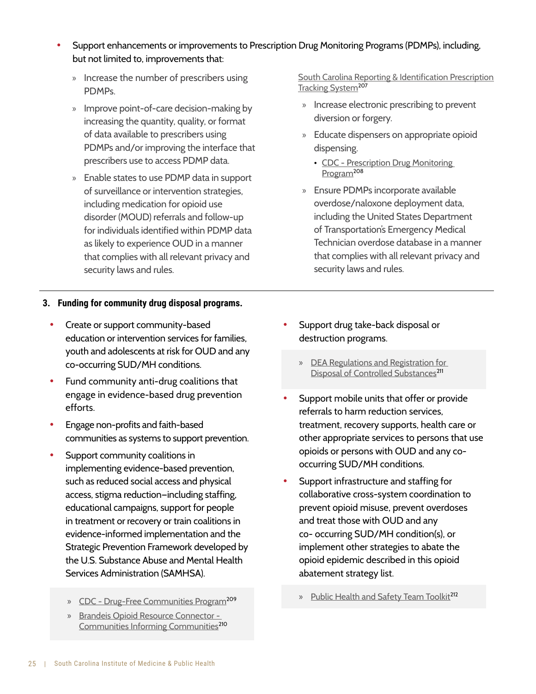- Support enhancements or improvements to Prescription Drug Monitoring Programs (PDMPs), including, but not limited to, improvements that:
	- » Increase the number of prescribers using PDMPs.
	- » Improve point-of-care decision-making by increasing the quantity, quality, or format of data available to prescribers using PDMPs and/or improving the interface that prescribers use to access PDMP data.
	- » Enable states to use PDMP data in support of surveillance or intervention strategies, including medication for opioid use disorder (MOUD) referrals and follow-up for individuals identified within PDMP data as likely to experience OUD in a manner that complies with all relevant privacy and security laws and rules.

#### [South Carolina Reporting & Identification Prescription](https://scdhec.gov/healthcare-quality/drug-control-register-verify/prescription-monitoring) [Tracking System](https://scdhec.gov/healthcare-quality/drug-control-register-verify/prescription-monitoring)<sup>207</sup>

- » Increase electronic prescribing to prevent diversion or forgery.
- » Educate dispensers on appropriate opioid dispensing.
	- CDC Prescription Drug Monitoring [Program](https://www.cdc.gov/opioids/providers/training/pdmp.html)<sup>208</sup>
- » Ensure PDMPs incorporate available overdose/naloxone deployment data, including the United States Department of Transportation's Emergency Medical Technician overdose database in a manner that complies with all relevant privacy and security laws and rules.

#### **Funding for community drug disposal programs.3.**

- Create or support community-based education or intervention services for families, youth and adolescents at risk for OUD and any co-occurring SUD/MH conditions.
- Fund community anti-drug coalitions that engage in evidence-based drug prevention efforts.
- Engage non-profits and faith-based communities as systems to support prevention.
- Support community coalitions in implementing evidence-based prevention, such as reduced social access and physical access, stigma reduction—including staffing, educational campaigns, support for people in treatment or recovery or train coalitions in evidence-informed implementation and the Strategic Prevention Framework developed by the U.S. Substance Abuse and Mental Health Services Administration (SAMHSA).
	- » [CDC Drug-Free Communities Program](https://www.cdc.gov/drugoverdose/drug-free-communities/index.html)<sup>209</sup>
	- » [Brandeis Opioid Resource Connector](https://opioid-resource-connector.org/)  [Communities Informing Communities](https://opioid-resource-connector.org/)<sup>210</sup>
- Support drug take-back disposal or destruction programs.
	- » [DEA Regulations and Registration for](https://www.deadiversion.usdoj.gov/drug_disposal/index.html)  [Disposal of Controlled Substances](https://www.deadiversion.usdoj.gov/drug_disposal/index.html)<sup>211</sup>
- Support mobile units that offer or provide referrals to harm reduction services, treatment, recovery supports, health care or other appropriate services to persons that use opioids or persons with OUD and any cooccurring SUD/MH conditions.
- Support infrastructure and staffing for collaborative cross-system coordination to prevent opioid misuse, prevent overdoses and treat those with OUD and any co- occurring SUD/MH condition(s), or implement other strategies to abate the opioid epidemic described in this opioid abatement strategy list.
	- » [Public Health and Safety Team Toolkit](https://www.cdcfoundation.org/sites/default/files/files/PHAST_Web_Toolkit_Pilot_Version_2.0_For_Dissemination.pdf)<sup>212</sup>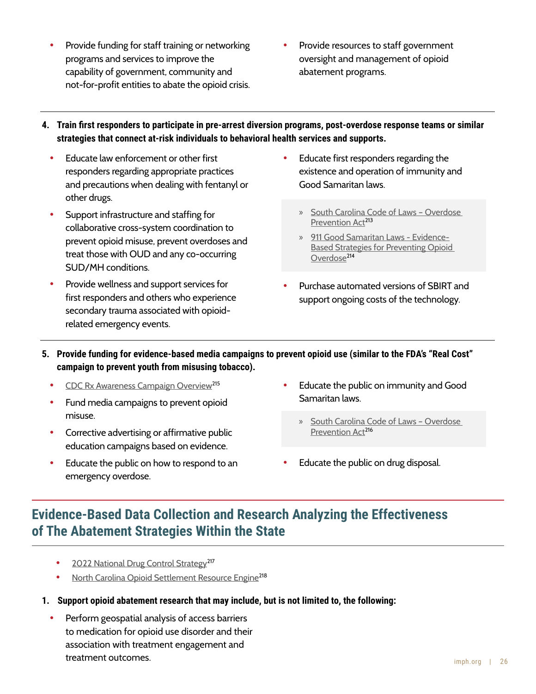- Provide funding for staff training or networking programs and services to improve the capability of government, community and not-for-profit entities to abate the opioid crisis.
- Provide resources to staff government oversight and management of opioid abatement programs.
- **Train first responders to participate in pre-arrest diversion programs, post-overdose response teams or similar 4.strategies that connect at-risk individuals to behavioral health services and supports.** 
	- Educate law enforcement or other first responders regarding appropriate practices and precautions when dealing with fentanyl or other drugs.
	- Support infrastructure and staffing for collaborative cross-system coordination to prevent opioid misuse, prevent overdoses and treat those with OUD and any co-occurring SUD/MH conditions.
	- Provide wellness and support services for first responders and others who experience secondary trauma associated with opioidrelated emergency events.
- Educate first responders regarding the existence and operation of immunity and Good Samaritan laws.
	- » [South Carolina Code of Laws Overdose](https://www.scstatehouse.gov/code/t44c130.php)  [Prevention Act](https://www.scstatehouse.gov/code/t44c130.php)<sup>213</sup>
	- » [911 Good Samaritan Laws Evidence-](https://www.cdc.gov/drugoverdose/featured-topics/evidence-based-strategies.html)[Based Strategies for Preventing Opioid](https://www.cdc.gov/drugoverdose/featured-topics/evidence-based-strategies.html)  [Overdose](https://www.cdc.gov/drugoverdose/featured-topics/evidence-based-strategies.html)<sup>214</sup>
- Purchase automated versions of SBIRT and support ongoing costs of the technology.
- **Provide funding for evidence-based media campaigns to prevent opioid use (similar to the FDA's "Real Cost" 5. campaign to prevent youth from misusing tobacco).**
	- [CDC Rx Awareness Campaign Overview](https://www.cdc.gov/rxawareness/pdf/Overview-Rx-Awareness-Resources.pdf)<sup>215</sup>
	- Fund media campaigns to prevent opioid misuse.
	- Corrective advertising or affirmative public education campaigns based on evidence.
	- Educate the public on how to respond to an emergency overdose.
- Educate the public on immunity and Good Samaritan laws.
	- » [South Carolina Code of Laws Overdose](https://www.scstatehouse.gov/code/t44c130.php)  [Prevention Act](https://www.scstatehouse.gov/code/t44c130.php)<sup>216</sup>
- Educate the public on drug disposal.

# **Evidence-Based Data Collection and Research Analyzing the Effectiveness of The Abatement Strategies Within the State**

- [2022 National Drug Control Strategy](https://www.whitehouse.gov/wp-content/uploads/2022/04/National-Drug-Control-2022Strategy.pdf)<sup>217</sup>
- **[North Carolina Opioid Settlement Resource Engine](https://ncopioidsettlement.org/)<sup>218</sup>**
- **1. Support opioid abatement research that may include, but is not limited to, the following:**
	- Perform geospatial analysis of access barriers to medication for opioid use disorder and their association with treatment engagement and treatment outcomes.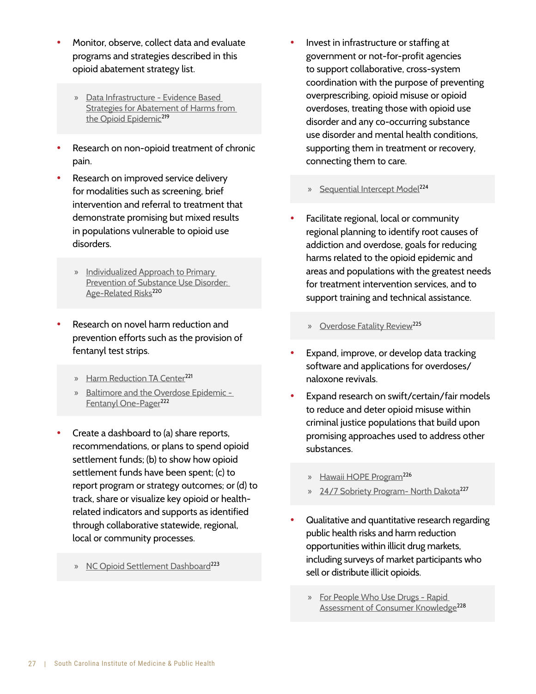- Monitor, observe, collect data and evaluate programs and strategies described in this opioid abatement strategy list.
	- » [Data Infrastructure Evidence Based](https://www.lac.org/resource/evidence-based-strategies-for-abatement-of-harms-from-the-o)  [Strategies for Abatement of Harms from](https://www.lac.org/resource/evidence-based-strategies-for-abatement-of-harms-from-the-o)  [the Opioid Epidemic](https://www.lac.org/resource/evidence-based-strategies-for-abatement-of-harms-from-the-o)<sup>219</sup>
- Research on non-opioid treatment of chronic pain.
- Research on improved service delivery for modalities such as screening, brief intervention and referral to treatment that demonstrate promising but mixed results in populations vulnerable to opioid use disorders.
	- » [Individualized Approach to Primary](https://www.ncbi.nlm.nih.gov/pmc/articles/PMC7427884/)  [Prevention of Substance Use Disorder:](https://www.ncbi.nlm.nih.gov/pmc/articles/PMC7427884/)  [Age-Related Risks](https://www.ncbi.nlm.nih.gov/pmc/articles/PMC7427884/)<sup>220</sup>
- Research on novel harm reduction and prevention efforts such as the provision of fentanyl test strips.
	- » [Harm Reduction TA Center](https://harmreductionhelp.cdc.gov/s/)<sup>221</sup>
	- » [Baltimore and the Overdose Epidemic](https://americanhealth.jhu.edu/themes/custom/bahi/assets/pdfs/Fentanyl_Onepager_080618.pdf)  [Fentanyl One-Pager](https://americanhealth.jhu.edu/themes/custom/bahi/assets/pdfs/Fentanyl_Onepager_080618.pdf)<sup>222</sup>
- Create a dashboard to (a) share reports, recommendations, or plans to spend opioid settlement funds; (b) to show how opioid settlement funds have been spent; (c) to report program or strategy outcomes; or (d) to track, share or visualize key opioid or healthrelated indicators and supports as identified through collaborative statewide, regional, local or community processes.
	- » [NC Opioid Settlement Dashboard](https://ncopioidsettlement.org/data-dashboards/)<sup>223</sup>
- Invest in infrastructure or staffing at government or not-for-profit agencies to support collaborative, cross-system coordination with the purpose of preventing overprescribing, opioid misuse or opioid overdoses, treating those with opioid use disorder and any co-occurring substance use disorder and mental health conditions, supporting them in treatment or recovery, connecting them to care.
	- » [Sequential Intercept Model](https://www.samhsa.gov/criminal-juvenile-justice/sim-overview)<sup>224</sup>
- Facilitate regional, local or community regional planning to identify root causes of addiction and overdose, goals for reducing harms related to the opioid epidemic and areas and populations with the greatest needs for treatment intervention services, and to support training and technical assistance.
	- » [Overdose Fatality Review](https://www.cossapresources.org/Tools/OFR)<sup>225</sup>
- Expand, improve, or develop data tracking software and applications for overdoses/ naloxone revivals.
- Expand research on swift/certain/fair models to reduce and deter opioid misuse within criminal justice populations that build upon promising approaches used to address other substances.
	- » [Hawaii HOPE Program](https://www.pewtrusts.org/en/research-and-analysis/articles/2010/hawaii-hope-program#:~:text=Established%20in%202004%20by%20Judge%20Steven%20S.%20Alm,up%20by%20swift%2C%20certain%20and%20short%20jail%20stays.?msclkid=686187b6cbd711ec98fab82b382174b9)<sup>226</sup>
	- » [24/7 Sobriety Program- North Dakota](https://attorneygeneral.nd.gov/public-safety/247-sobriety-program?msclkid=85cac5a4cbd711ec99735d8ac23f2d9d)<sup>227</sup>
- Qualitative and quantitative research regarding public health risks and harm reduction opportunities within illicit drug markets, including surveys of market participants who sell or distribute illicit opioids.
	- » [For People Who Use Drugs Rapid](https://heller.brandeis.edu/opioid-policy/community-resources/rack/index.html)  [Assessment of Consumer Knowledge](https://heller.brandeis.edu/opioid-policy/community-resources/rack/index.html)<sup>228</sup>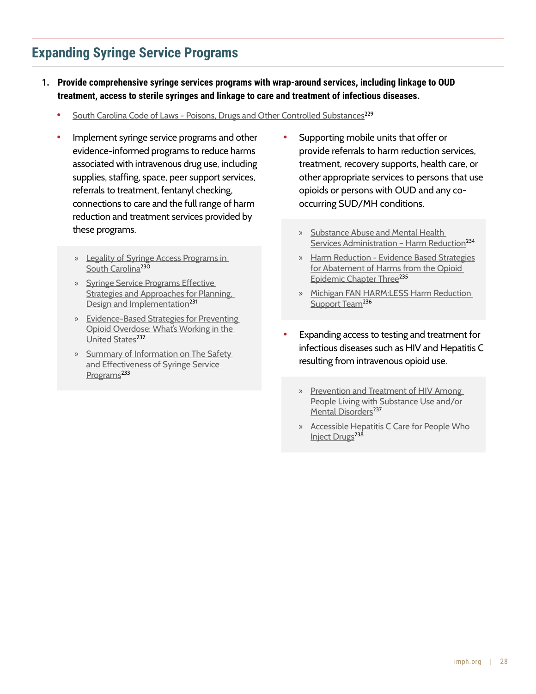# **Expanding Syringe Service Programs**

- **1. Provide comprehensive syringe services programs with wrap-around services, including linkage to OUD treatment, access to sterile syringes and linkage to care and treatment of infectious diseases.**
	- [South Carolina Code of Laws Poisons, Drugs and Other Controlled Substances](https://www.scstatehouse.gov/code/t44c053.php?msclkid=615cc8e0d0a311ec86481895ab5580f1)<sup>229</sup>
	- Implement syringe service programs and other evidence-informed programs to reduce harms associated with intravenous drug use, including supplies, staffing, space, peer support services, referrals to treatment, fentanyl checking, connections to care and the full range of harm reduction and treatment services provided by these programs.
		- » [Legality of Syringe Access Programs in](https://www.networkforphl.org/wp-content/uploads/2022/02/Fact-Sheet-Legality-of-SSPs-in-SC-2.pdf)  [South Carolina](https://www.networkforphl.org/wp-content/uploads/2022/02/Fact-Sheet-Legality-of-SSPs-in-SC-2.pdf)<sup>230</sup>
		- » [Syringe Service Programs Effective](https://www.cdc.gov/ssp/docs/SSP-Technical-Package.pdf)  [Strategies and Approaches for Planning,](https://www.cdc.gov/ssp/docs/SSP-Technical-Package.pdf)  [Design and Implementation](https://www.cdc.gov/ssp/docs/SSP-Technical-Package.pdf)<sup>231</sup>
		- » [Evidence-Based Strategies for Preventing](https://www.cdc.gov/drugoverdose/featured-topics/evidence-based-strategies.html)  [Opioid Overdose: What's Working in the](https://www.cdc.gov/drugoverdose/featured-topics/evidence-based-strategies.html)  [United States](https://www.cdc.gov/drugoverdose/featured-topics/evidence-based-strategies.html)<sup>232</sup>
		- » [Summary of Information on The Safety](https://www.cdc.gov/ssp/syringe-services-programs-summary.html#:~:text=Nearly%2030%20years%20of%20research,hepatitis%2C%20HIV%20and%20other%20infections)  [and Effectiveness of Syringe Service](https://www.cdc.gov/ssp/syringe-services-programs-summary.html#:~:text=Nearly%2030%20years%20of%20research,hepatitis%2C%20HIV%20and%20other%20infections)  [Programs](https://www.cdc.gov/ssp/syringe-services-programs-summary.html#:~:text=Nearly%2030%20years%20of%20research,hepatitis%2C%20HIV%20and%20other%20infections)<sup>233</sup>
- Supporting mobile units that offer or provide referrals to harm reduction services, treatment, recovery supports, health care, or other appropriate services to persons that use opioids or persons with OUD and any cooccurring SUD/MH conditions.
	- » [Substance Abuse and Mental Health](https://www.samhsa.gov/find-help/harm-reduction)  Services Administration - Harm Reduction<sup>234</sup>
	- » [Harm Reduction Evidence Based Strategies](https://www.lac.org/resource/evidence-based-strategies-for-abatement-of-harms-from-the-o)  for Abatement of Harms from the Opioid [Epidemic Chapter Three](https://www.lac.org/resource/evidence-based-strategies-for-abatement-of-harms-from-the-o)<sup>235</sup>
	- » [Michigan FAN HARM:LESS Harm Reduction](https://www.familiesagainstnarcotics.org/harmless)  [Support Team](https://www.familiesagainstnarcotics.org/harmless)<sup>236</sup>
- Expanding access to testing and treatment for infectious diseases such as HIV and Hepatitis C resulting from intravenous opioid use.
	- » [Prevention and Treatment of HIV Among](https://www.samhsa.gov/resource/ebp/prevention-treatment-hiv-among-people-living-substance-use-andor-mental-disorders)  [People Living with Substance Use and/or](https://www.samhsa.gov/resource/ebp/prevention-treatment-hiv-among-people-living-substance-use-andor-mental-disorders)  [Mental Disorders](https://www.samhsa.gov/resource/ebp/prevention-treatment-hiv-among-people-living-substance-use-andor-mental-disorders)<sup>237</sup>
	- » [Accessible Hepatitis C Care for People Who](https://jamanetwork.com/journals/jamainternalmedicine/article-abstract/2790054?msclkid=083cfdb0cbd811ecb025bb484979fbdb)  [Inject Drugs](https://jamanetwork.com/journals/jamainternalmedicine/article-abstract/2790054?msclkid=083cfdb0cbd811ecb025bb484979fbdb)<sup>238</sup>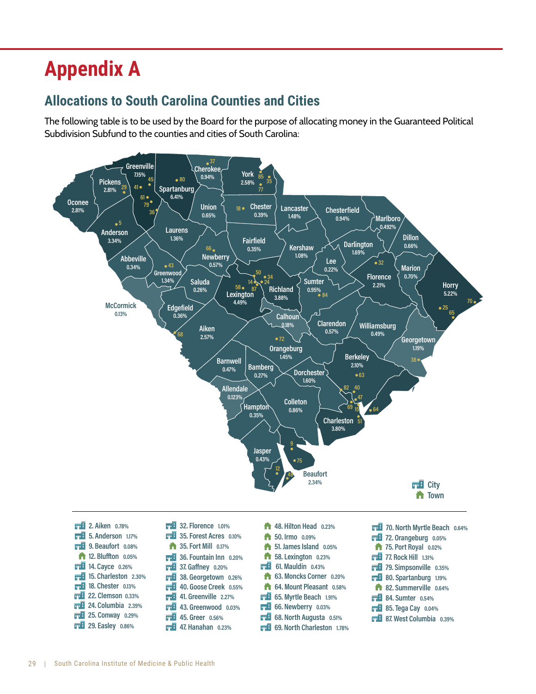# **Appendix A**

# **Allocations to South Carolina Counties and Cities**

The following table is to be used by the Board for the purpose of allocating money in the Guaranteed Political Subdivision Subfund to the counties and cities of South Carolina:

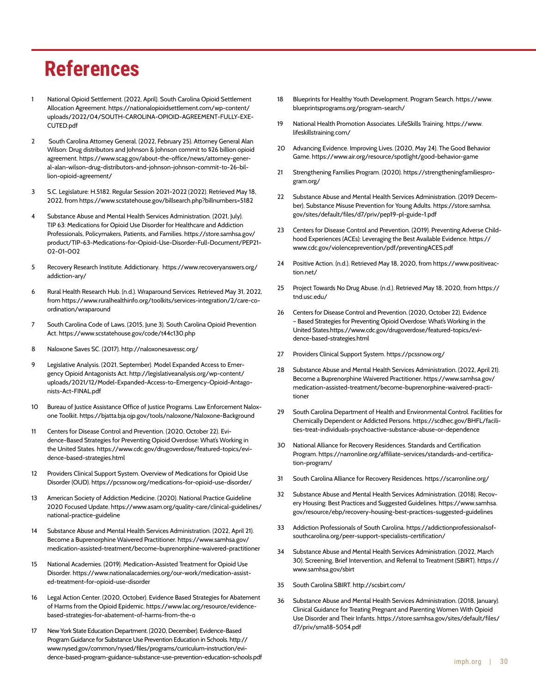# **References**

- National Opioid Settlement. (2022, April). South Carolina Opioid Settlement Allocation Agreement. https://nationalopioidsettlement.com/wp-content/ uploads/2022/04/SOUTH-CAROLINA-OPIOID-AGREEMENT-FULLY-EXE-CUTED.pdf
- 2 South Carolina Attorney General. (2022, February 25). Attorney General Alan Wilson: Drug distributors and Johnson & Johnson commit to \$26 billion opioid agreement. https://www.scag.gov/about-the-office/news/attorney-general-alan-wilson-drug-distributors-and-johnson-johnson-commit-to-26-billion-opioid-agreement/
- 3 S.C. Legislature: H.5182. Regular Session 2021-2022 (2022). Retrieved May 18, 2022, from https://www.scstatehouse.gov/billsearch.php?billnumbers=5182
- Substance Abuse and Mental Health Services Administration. (2021, July). TIP 63: Medications for Opioid Use Disorder for Healthcare and Addiction Professionals, Policymakers, Patients, and Families. https://store.samhsa.gov/ product/TIP-63-Medications-for-Opioid-Use-Disorder-Full-Document/PEP21- 02-01-002
- 5 Recovery Research Institute. Addictionary. https://www.recoveryanswers.org/ addiction-ary/
- 6 Rural Health Research Hub. (n.d.). Wraparound Services. Retrieved May 31, 2022, from https://www.ruralhealthinfo.org/toolkits/services-integration/2/care-coordination/wraparound
- 7 South Carolina Code of Laws. (2015, June 3). South Carolina Opioid Prevention Act. https://www.scstatehouse.gov/code/t44c130.php
- 8 Naloxone Saves SC. (2017). http://naloxonesavessc.org/
- 9 Legislative Analysis. (2021, September). Model Expanded Access to Emergency Opioid Antagonists Act. http://legislativeanalysis.org/wp-content/ uploads/2021/12/Model-Expanded-Access-to-Emergency-Opioid-Antagonists-Act-FINAL.pdf
- 10 Bureau of Justice Assistance Office of Justice Programs. Law Enforcement Naloxone Toolkit. https://bjatta.bja.ojp.gov/tools/naloxone/Naloxone-Background
- 11 Centers for Disease Control and Prevention. (2020, October 22). Evidence-Based Strategies for Preventing Opioid Overdose: What's Working in the United States. https://www.cdc.gov/drugoverdose/featured-topics/evidence-based-strategies.html
- 12 Providers Clinical Support System. Overview of Medications for Opioid Use Disorder (OUD). https://pcssnow.org/medications-for-opioid-use-disorder/
- 13 American Society of Addiction Medicine. (2020). National Practice Guideline 2020 Focused Update. https://www.asam.org/quality-care/clinical-guidelines/ national-practice-guideline
- 14 Substance Abuse and Mental Health Services Administration. (2022, April 21). Become a Buprenorphine Waivered Practitioner. https://www.samhsa.gov/ medication-assisted-treatment/become-buprenorphine-waivered-practitioner
- 15 National Academies. (2019). Medication-Assisted Treatment for Opioid Use Disorder. https://www.nationalacademies.org/our-work/medication-assisted-treatment-for-opioid-use-disorder
- 16 Legal Action Center. (2020, October). Evidence Based Strategies for Abatement of Harms from the Opioid Epidemic. https://www.lac.org/resource/evidencebased-strategies-for-abatement-of-harms-from-the-o
- 17 New York State Education Department. (2020, December). Evidence-Based Program Guidance for Substance Use Prevention Education in Schools. http:// www.nysed.gov/common/nysed/files/programs/curriculum-instruction/evidence-based-program-guidance-substance-use-prevention-education-schools.pdf
- 18 Blueprints for Healthy Youth Development. Program Search. https://www. blueprintsprograms.org/program-search/
- 19 National Health Promotion Associates. LifeSkills Training. https://www. lifeskillstraining.com/
- 20 Advancing Evidence. Improving Lives. (2020, May 24). The Good Behavior Game. https://www.air.org/resource/spotlight/good-behavior-game
- 21 Strengthening Families Program. (2020). https://strengtheningfamiliesprogram.org/
- 22 Substance Abuse and Mental Health Services Administration. (2019 December). Substance Misuse Prevention for Young Adults. https://store.samhsa. gov/sites/default/files/d7/priv/pep19-pl-guide-1.pdf
- 23 Centers for Disease Control and Prevention. (2019). Preventing Adverse Childhood Experiences (ACEs): Leveraging the Best Available Evidence. https:// www.cdc.gov/violenceprevention/pdf/preventingACES.pdf
- 24 Positive Action. (n.d.). Retrieved May 18, 2020, from https://www.positiveaction.net/
- 25 Project Towards No Drug Abuse. (n.d.). Retrieved May 18, 2020, from https:// tnd.usc.edu/
- 26 Centers for Disease Control and Prevention. (2020, October 22). Evidence – Based Strategies for Preventing Opioid Overdose: What's Working in the United States.https://www.cdc.gov/drugoverdose/featured-topics/evidence-based-strategies.html
- 27 Providers Clinical Support System. https://pcssnow.org/
- 28 Substance Abuse and Mental Health Services Administration. (2022, April 21). Become a Buprenorphine Waivered Practitioner. https://www.samhsa.gov/ medication-assisted-treatment/become-buprenorphine-waivered-practitioner
- 29 South Carolina Department of Health and Environmental Control. Facilities for Chemically Dependent or Addicted Persons. https://scdhec.gov/BHFL/facilities-treat-individuals-psychoactive-substance-abuse-or-dependence
- 30 National Alliance for Recovery Residences. Standards and Certification Program. https://narronline.org/affiliate-services/standards-and-certification-program/
- 31 South Carolina Alliance for Recovery Residences. https://scarronline.org/
- Substance Abuse and Mental Health Services Administration. (2018). Recovery Housing: Best Practices and Suggested Guidelines. https://www.samhsa. gov/resource/ebp/recovery-housing-best-practices-suggested-guidelines
- 33 Addiction Professionals of South Carolina. https://addictionprofessionalsofsouthcarolina.org/peer-support-specialists-certification/
- 34 Substance Abuse and Mental Health Services Administration. (2022, March 30). Screening, Brief Intervention, and Referral to Treatment (SBIRT). https:// www.samhsa.gov/sbirt
- 35 South Carolina SBIRT. http://scsbirt.com/
- 36 Substance Abuse and Mental Health Services Administration. (2018, January). Clinical Guidance for Treating Pregnant and Parenting Women With Opioid Use Disorder and Their Infants. https://store.samhsa.gov/sites/default/files/ d7/priv/sma18-5054.pdf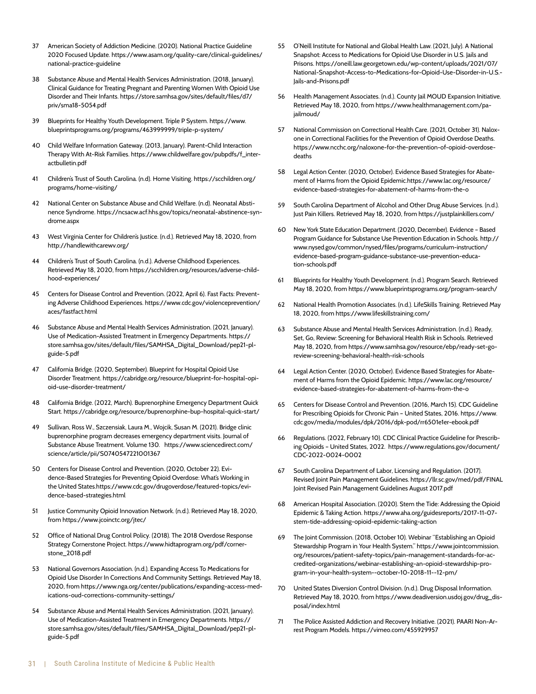- 37 American Society of Addiction Medicine. (2020). National Practice Guideline 2020 Focused Update. https://www.asam.org/quality-care/clinical-guidelines/ national-practice-guideline
- 38 Substance Abuse and Mental Health Services Administration. (2018, January). Clinical Guidance for Treating Pregnant and Parenting Women With Opioid Use Disorder and Their Infants. https://store.samhsa.gov/sites/default/files/d7/ priv/sma18-5054.pdf
- 39 Blueprints for Healthy Youth Development. Triple P System. https://www. blueprintsprograms.org/programs/463999999/triple-p-system/
- 40 Child Welfare Information Gateway. (2013, January). Parent-Child Interaction Therapy With At-Risk Families. https://www.childwelfare.gov/pubpdfs/f\_interactbulletin.pdf
- 41 Children's Trust of South Carolina. (n.d). Home Visiting. https://scchildren.org/ programs/home-visiting/
- 42 National Center on Substance Abuse and Child Welfare. (n.d). Neonatal Abstinence Syndrome. https://ncsacw.acf.hhs.gov/topics/neonatal-abstinence-syndrome.aspx
- 43 West Virginia Center for Children's Justice. (n.d.). Retrieved May 18, 2020, from http://handlewithcarewv.org/
- 44 Children's Trust of South Carolina. (n.d.). Adverse Childhood Experiences. Retrieved May 18, 2020, from https://scchildren.org/resources/adverse-childhood-experiences/
- 45 Centers for Disease Control and Prevention. (2022, April 6). Fast Facts: Preventing Adverse Childhood Experiences. https://www.cdc.gov/violenceprevention/ aces/fastfact.html
- 46 Substance Abuse and Mental Health Services Administration. (2021, January). Use of Medication-Assisted Treatment in Emergency Departments. https:// store.samhsa.gov/sites/default/files/SAMHSA\_Digital\_Download/pep21-plguide-5.pdf
- 47 California Bridge. (2020, September). Blueprint for Hospital Opioid Use Disorder Treatment. https://cabridge.org/resource/blueprint-for-hospital-opioid-use-disorder-treatment/
- 48 California Bridge. (2022, March). Buprenorphine Emergency Department Quick Start. https://cabridge.org/resource/buprenorphine-bup-hospital-quick-start/
- 49 Sullivan, Ross W., Szczensiak, Laura M., Wojcik, Susan M. (2021). Bridge clinic buprenorphine program decreases emergency department visits. Journal of Substance Abuse Treatment. Volume 130. https://www.sciencedirect.com/ science/article/pii/S0740547221001367
- 50 Centers for Disease Control and Prevention. (2020, October 22). Evidence-Based Strategies for Preventing Opioid Overdose: What's Working in the United States.https://www.cdc.gov/drugoverdose/featured-topics/evidence-based-strategies.html
- 51 Justice Community Opioid Innovation Network. (n.d.). Retrieved May 18, 2020, from https://www.jcoinctc.org/jtec/
- 52 Office of National Drug Control Policy. (2018). The 2018 Overdose Response Strategy Cornerstone Project. https://www.hidtaprogram.org/pdf/cornerstone\_2018.pdf
- 53 National Governors Association. (n.d.). Expanding Access To Medications for Opioid Use Disorder In Corrections And Community Settings. Retrieved May 18, 2020, from https://www.nga.org/center/publications/expanding-access-medications-oud-corrections-community-settings/
- 54 Substance Abuse and Mental Health Services Administration. (2021, January). Use of Medication-Assisted Treatment in Emergency Departments. https:// store.samhsa.gov/sites/default/files/SAMHSA\_Digital\_Download/pep21-plguide-5.pdf
- 55 O'Neill Institute for National and Global Health Law. (2021, July). A National Snapshot: Access to Medications for Opioid Use Disorder in U.S. Jails and Prisons. https://oneill.law.georgetown.edu/wp-content/uploads/2021/07/ National-Snapshot-Access-to-Medications-for-Opioid-Use-Disorder-in-U.S.- Jails-and-Prisons.pdf
- Health Management Associates. (n.d.). County Jail MOUD Expansion Initiative. Retrieved May 18, 2020, from https://www.healthmanagement.com/pajailmoud/
- 57 National Commission on Correctional Health Care. (2021, October 31). Naloxone in Correctional Facilities for the Prevention of Opioid Overdose Deaths. https://www.ncchc.org/naloxone-for-the-prevention-of-opioid-overdosedeaths
- 58 Legal Action Center. (2020, October). Evidence Based Strategies for Abatement of Harms from the Opioid Epidemic.https://www.lac.org/resource/ evidence-based-strategies-for-abatement-of-harms-from-the-o
- 59 South Carolina Department of Alcohol and Other Drug Abuse Services. (n.d.). Just Pain Killers. Retrieved May 18, 2020, from https://justplainkillers.com/
- 60 New York State Education Department. (2020, December). Evidence Based Program Guidance for Substance Use Prevention Education in Schools. http:// www.nysed.gov/common/nysed/files/programs/curriculum-instruction/ evidence-based-program-guidance-substance-use-prevention-education-schools.pdf
- 61 Blueprints for Healthy Youth Development. (n.d.). Program Search. Retrieved May 18, 2020, from https://www.blueprintsprograms.org/program-search/
- 62 National Health Promotion Associates. (n.d.). LifeSkills Training. Retrieved May 18, 2020, from https://www.lifeskillstraining.com/
- 63 Substance Abuse and Mental Health Services Administration. (n.d.). Ready, Set, Go, Review: Screening for Behavioral Health Risk in Schools. Retrieved May 18, 2020, from https://www.samhsa.gov/resource/ebp/ready-set-goreview-screening-behavioral-health-risk-schools
- 64 Legal Action Center. (2020, October). Evidence Based Strategies for Abatement of Harms from the Opioid Epidemic. https://www.lac.org/resource/ evidence-based-strategies-for-abatement-of-harms-from-the-o
- 65 Centers for Disease Control and Prevention. (2016, March 15). CDC Guideline for Prescribing Opioids for Chronic Pain – United States, 2016. https://www. cdc.gov/media/modules/dpk/2016/dpk-pod/rr6501e1er-ebook.pdf
- 66 Regulations. (2022, February 10). CDC Clinical Practice Guideline for Prescribing Opioids – United States, 2022. https://www.regulations.gov/document/ CDC-2022-0024-0002
- 67 South Carolina Department of Labor, Licensing and Regulation. (2017). Revised Joint Pain Management Guidelines. https://llr.sc.gov/med/pdf/FINAL Joint Revised Pain Management Guidelines August 2017.pdf
- 68 American Hospital Association. (2020). Stem the Tide: Addressing the Opioid Epidemic & Taking Action. https://www.aha.org/guidesreports/2017-11-07 stem-tide-addressing-opioid-epidemic-taking-action
- 69 The Joint Commission. (2018, October 10). Webinar "Establishing an Opioid Stewardship Program in Your Health System." https://www.jointcommission. org/resources/patient-safety-topics/pain-management-standards-for-accredited-organizations/webinar-establishing-an-opioid-stewardship-program-in-your-health-system--october-10-2018-11--12-pm/
- 70 United States Diversion Control Division. (n.d.). Drug Disposal Information. Retrieved May 18, 2020, from https://www.deadiversion.usdoj.gov/drug\_disposal/index.html
- 71 The Police Assisted Addiction and Recovery Initiative. (2021). PAARI Non-Arrest Program Models. https://vimeo.com/455929957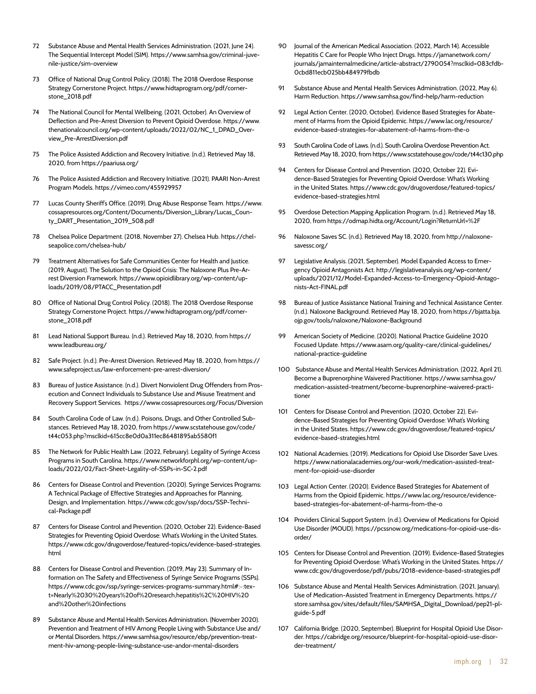- 72 Substance Abuse and Mental Health Services Administration. (2021, June 24). The Sequential Intercept Model (SIM). https://www.samhsa.gov/criminal-juvenile-justice/sim-overview
- 73 Office of National Drug Control Policy. (2018). The 2018 Overdose Response Strategy Cornerstone Project. https://www.hidtaprogram.org/pdf/cornerstone\_2018.pdf
- 74 The National Council for Mental Wellbeing. (2021, October). An Overview of Deflection and Pre-Arrest Diversion to Prevent Opioid Overdose. https://www. thenationalcouncil.org/wp-content/uploads/2022/02/NC\_1\_DPAD\_Overview\_Pre-ArrestDiversion.pdf
- 75 The Police Assisted Addiction and Recovery Initiative. (n.d.). Retrieved May 18, 2020, from https://paariusa.org/
- 76 The Police Assisted Addiction and Recovery Initiative. (2021). PAARI Non-Arrest Program Models. https://vimeo.com/455929957
- 77 Lucas County Sheriff's Office. (2019). Drug Abuse Response Team. https://www. cossapresources.org/Content/Documents/Diversion\_Library/Lucas\_County\_DART\_Presentation\_2019\_508.pdf
- 78 Chelsea Police Department. (2018, November 27). Chelsea Hub. https://chelseapolice.com/chelsea-hub/
- 79 Treatment Alternatives for Safe Communities Center for Health and Justice. (2019, August). The Solution to the Opioid Crisis: The Naloxone Plus Pre-Arrest Diversion Framework. https://www.opioidlibrary.org/wp-content/uploads/2019/08/PTACC\_Presentation.pdf
- 80 Office of National Drug Control Policy. (2018). The 2018 Overdose Response Strategy Cornerstone Project. https://www.hidtaprogram.org/pdf/cornerstone\_2018.pdf
- 81 Lead National Support Bureau. (n.d.). Retrieved May 18, 2020, from https:// www.leadbureau.org/
- 82 Safe Project. (n.d.). Pre-Arrest Diversion. Retrieved May 18, 2020, from https:// www.safeproject.us/law-enforcement-pre-arrest-diversion/
- 83 Bureau of Justice Assistance. (n.d.). Divert Nonviolent Drug Offenders from Prosecution and Connect Individuals to Substance Use and Misuse Treatment and Recovery Support Services. https://www.cossapresources.org/Focus/Diversion
- 84 South Carolina Code of Law. (n.d.). Poisons, Drugs, and Other Controlled Substances. Retrieved May 18, 2020, from https://www.scstatehouse.gov/code/ t44c053.php?msclkid=615cc8e0d0a311ec86481895ab5580f1
- 85 The Network for Public Health Law. (2022, February). Legality of Syringe Access Programs in South Carolina. https://www.networkforphl.org/wp-content/uploads/2022/02/Fact-Sheet-Legality-of-SSPs-in-SC-2.pdf
- 86 Centers for Disease Control and Prevention. (2020). Syringe Services Programs: A Technical Package of Effective Strategies and Approaches for Planning, Design, and Implementation. https://www.cdc.gov/ssp/docs/SSP-Technical-Package.pdf
- 87 Centers for Disease Control and Prevention. (2020, October 22). Evidence-Based Strategies for Preventing Opioid Overdose: What's Working in the United States. https://www.cdc.gov/drugoverdose/featured-topics/evidence-based-strategies. html
- 88 Centers for Disease Control and Prevention. (2019, May 23). Summary of Information on The Safety and Effectiveness of Syringe Service Programs (SSPs). https://www.cdc.gov/ssp/syringe-services-programs-summary.html#:~:text=Nearly%2030%20years%20of%20research,hepatitis%2C%20HIV%20 and%20other%20infections
- 89 Substance Abuse and Mental Health Services Administration. (November 2020). Prevention and Treatment of HIV Among People Living with Substance Use and/ or Mental Disorders. https://www.samhsa.gov/resource/ebp/prevention-treatment-hiv-among-people-living-substance-use-andor-mental-disorders
- 90 Journal of the American Medical Association. (2022, March 14). Accessible Hepatitis C Care for People Who Inject Drugs. https://jamanetwork.com/ journals/jamainternalmedicine/article-abstract/2790054?msclkid=083cfdb-0cbd811ecb025bb484979fbdb
- Substance Abuse and Mental Health Services Administration. (2022, May 6). Harm Reduction. https://www.samhsa.gov/find-help/harm-reduction
- 92 Legal Action Center. (2020, October). Evidence Based Strategies for Abatement of Harms from the Opioid Epidemic. https://www.lac.org/resource/ evidence-based-strategies-for-abatement-of-harms-from-the-o
- South Carolina Code of Laws. (n.d.). South Carolina Overdose Prevention Act. Retrieved May 18, 2020, from https://www.scstatehouse.gov/code/t44c130.php
- 94 Centers for Disease Control and Prevention. (2020, October 22). Evidence-Based Strategies for Preventing Opioid Overdose: What's Working in the United States. https://www.cdc.gov/drugoverdose/featured-topics/ evidence-based-strategies.html
- 95 Overdose Detection Mapping Application Program. (n.d.). Retrieved May 18, 2020, from https://odmap.hidta.org/Account/Login?ReturnUrl=%2F
- 96 Naloxone Saves SC. (n.d.). Retrieved May 18, 2020, from http://naloxonesavessc.org/
- Legislative Analysis. (2021, September). Model Expanded Access to Emergency Opioid Antagonists Act. http://legislativeanalysis.org/wp-content/ uploads/2021/12/Model-Expanded-Access-to-Emergency-Opioid-Antagonists-Act-FINAL.pdf
- 98 Bureau of Justice Assistance National Training and Technical Assistance Center. (n.d.). Naloxone Background. Retrieved May 18, 2020, from https://bjatta.bja. ojp.gov/tools/naloxone/Naloxone-Background
- 99 American Society of Medicine. (2020). National Practice Guideline 2020 Focused Update. https://www.asam.org/quality-care/clinical-guidelines/ national-practice-guideline
- 100 Substance Abuse and Mental Health Services Administration. (2022, April 21). Become a Buprenorphine Waivered Practitioner. https://www.samhsa.gov/ medication-assisted-treatment/become-buprenorphine-waivered-practitioner
- 101 Centers for Disease Control and Prevention. (2020, October 22). Evidence-Based Strategies for Preventing Opioid Overdose: What's Working in the United States. https://www.cdc.gov/drugoverdose/featured-topics/ evidence-based-strategies.html
- 102 National Academies. (2019). Medications for Opioid Use Disorder Save Lives. https://www.nationalacademies.org/our-work/medication-assisted-treatment-for-opioid-use-disorder
- 103 Legal Action Center. (2020). Evidence Based Strategies for Abatement of Harms from the Opioid Epidemic. https://www.lac.org/resource/evidencebased-strategies-for-abatement-of-harms-from-the-o
- 104 Providers Clinical Support System. (n.d.). Overview of Medications for Opioid Use Disorder (MOUD). https://pcssnow.org/medications-for-opioid-use-disorder/
- 105 Centers for Disease Control and Prevention. (2019). Evidence-Based Strategies for Preventing Opioid Overdose: What's Working in the United States. https:// www.cdc.gov/drugoverdose/pdf/pubs/2018-evidence-based-strategies.pdf
- 106 Substance Abuse and Mental Health Services Administration. (2021, January). Use of Medication-Assisted Treatment in Emergency Departments. https:// store.samhsa.gov/sites/default/files/SAMHSA\_Digital\_Download/pep21-plguide-5.pdf
- 107 California Bridge. (2020, September). Blueprint for Hospital Opioid Use Disorder. https://cabridge.org/resource/blueprint-for-hospital-opioid-use-disorder-treatment/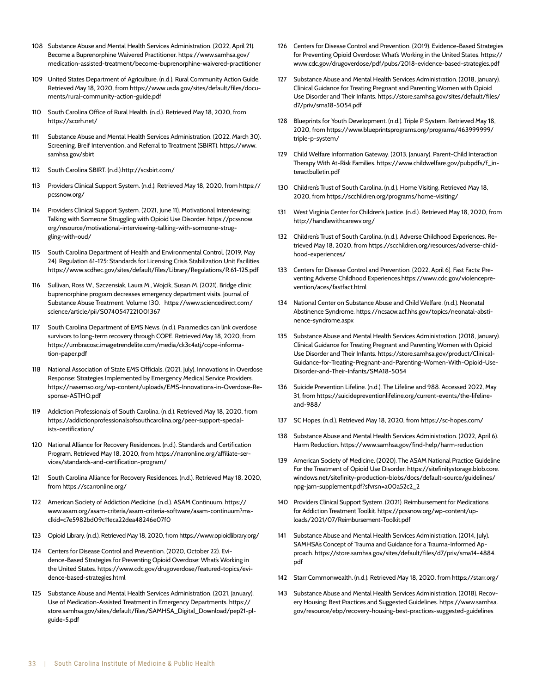- 108 Substance Abuse and Mental Health Services Administration. (2022, April 21). Become a Buprenorphine Waivered Practitioner. https://www.samhsa.gov/ medication-assisted-treatment/become-buprenorphine-waivered-practitioner
- 109 United States Department of Agriculture. (n.d.). Rural Community Action Guide. Retrieved May 18, 2020, from https://www.usda.gov/sites/default/files/documents/rural-community-action-guide.pdf
- 110 South Carolina Office of Rural Health. (n.d.). Retrieved May 18, 2020, from https://scorh.net/
- 111 Substance Abuse and Mental Health Services Administration. (2022, March 30). Screening, Breif Intervention, and Referral to Treatment (SBIRT). https://www. samhsa.gov/sbirt
- 112 South Carolina SBIRT. (n.d.).http://scsbirt.com/
- 113 Providers Clinical Support System. (n.d.). Retrieved May 18, 2020, from https:// pcssnow.org/
- 114 Providers Clinical Support System. (2021, June 11). Motivational Interviewing: Talking with Someone Struggling with Opioid Use Disorder. https://pcssnow. org/resource/motivational-interviewing-talking-with-someone-struggling-with-oud/
- 115 South Carolina Department of Health and Environmental Control. (2019, May 24). Regulation 61-125: Standards for Licensing Crisis Stabilization Unit Facilities. https://www.scdhec.gov/sites/default/files/Library/Regulations/R.61-125.pdf
- 116 Sullivan, Ross W., Szczensiak, Laura M., Wojcik, Susan M. (2021). Bridge clinic buprenorphine program decreases emergency department visits. Journal of Substance Abuse Treatment. Volume 130. https://www.sciencedirect.com/ science/article/pii/S0740547221001367
- 117 South Carolina Department of EMS News. (n.d.). Paramedics can link overdose survivors to long-term recovery through COPE. Retrieved May 18, 2020, from https://umbracosc.imagetrendelite.com/media/ck3c4atj/cope-information-paper.pdf
- 118 National Association of State EMS Officials. (2021, July). Innovations in Overdose Response: Strategies Implemented by Emergency Medical Service Providers. https://nasemso.org/wp-content/uploads/EMS-Innovations-in-Overdose-Response-ASTHO.pdf
- 119 Addiction Professionals of South Carolina. (n.d.). Retrieved May 18, 2020, from https://addictionprofessionalsofsouthcarolina.org/peer-support-specialists-certification/
- 120 National Alliance for Recovery Residences. (n.d.). Standards and Certification Program. Retrieved May 18, 2020, from https://narronline.org/affiliate-services/standards-and-certification-program/
- 121 South Carolina Alliance for Recovery Residences. (n.d.). Retrieved May 18, 2020, from https://scarronline.org/
- 122 American Society of Addiction Medicine. (n.d.). ASAM Continuum. https:// www.asam.org/asam-criteria/asam-criteria-software/asam-continuum?msclkid=c7e5982bd09c11eca22dea48246e07f0
- 123 Opioid Library. (n.d.). Retrieved May 18, 2020, from https://www.opioidlibrary.org/
- 124 Centers for Disease Control and Prevention. (2020, October 22). Evidence-Based Strategies for Preventing Opioid Overdose: What's Working in the United States. https://www.cdc.gov/drugoverdose/featured-topics/evidence-based-strategies.html
- 125 Substance Abuse and Mental Health Services Administration. (2021, January). Use of Medication-Assisted Treatment in Emergency Departments. https:// store.samhsa.gov/sites/default/files/SAMHSA\_Digital\_Download/pep21-plguide-5.pdf
- 126 Centers for Disease Control and Prevention. (2019). Evidence-Based Strategies for Preventing Opioid Overdose: What's Working in the United States. https:// www.cdc.gov/drugoverdose/pdf/pubs/2018-evidence-based-strategies.pdf
- 127 Substance Abuse and Mental Health Services Administration. (2018. January). Clinical Guidance for Treating Pregnant and Parenting Women with Opioid Use Disorder and Their Infants. https://store.samhsa.gov/sites/default/files/ d7/priv/sma18-5054.pdf
- 128 Blueprints for Youth Development. (n.d.). Triple P System. Retrieved May 18, 2020, from https://www.blueprintsprograms.org/programs/463999999/ triple-p-system/
- 129 Child Welfare Information Gateway. (2013, January). Parent-Child Interaction Therapy With At-Risk Families. https://www.childwelfare.gov/pubpdfs/f\_interactbulletin.pdf
- 130 Children's Trust of South Carolina. (n.d.). Home Visiting. Retrieved May 18, 2020, from https://scchildren.org/programs/home-visiting/
- 131 West Virginia Center for Children's Justice. (n.d.). Retrieved May 18, 2020, from http://handlewithcarewv.org/
- 132 Children's Trust of South Carolina. (n.d.). Adverse Childhood Experiences. Retrieved May 18, 2020, from https://scchildren.org/resources/adverse-childhood-experiences/
- 133 Centers for Disease Control and Prevention. (2022, April 6). Fast Facts: Preventing Adverse Childhood Experiences.https://www.cdc.gov/violenceprevention/aces/fastfact.html
- 134 National Center on Substance Abuse and Child Welfare. (n.d.). Neonatal Abstinence Syndrome. https://ncsacw.acf.hhs.gov/topics/neonatal-abstinence-syndrome.aspx
- 135 Substance Abuse and Mental Health Services Administration. (2018, January). Clinical Guidance for Treating Pregnant and Parenting Women with Opioid Use Disorder and Their Infants. https://store.samhsa.gov/product/Clinical-Guidance-for-Treating-Pregnant-and-Parenting-Women-With-Opioid-Use-Disorder-and-Their-Infants/SMA18-5054
- 136 Suicide Prevention Lifeline. (n.d.). The Lifeline and 988. Accessed 2022, May 31, from https://suicidepreventionlifeline.org/current-events/the-lifelineand-988/
- 137 SC Hopes. (n.d.). Retrieved May 18, 2020, from https://sc-hopes.com/
- 138 Substance Abuse and Mental Health Services Administration. (2022, April 6). Harm Reduction. https://www.samhsa.gov/find-help/harm-reduction
- 139 American Society of Medicine. (2020). The ASAM National Practice Guideline For the Treatment of Opioid Use Disorder. https://sitefinitystorage.blob.core. windows.net/sitefinity-production-blobs/docs/default-source/guidelines/ npg-jam-supplement.pdf?sfvrsn=a00a52c2\_2
- 140 Providers Clinical Support System. (2021). Reimbursement for Medications for Addiction Treatment Toolkit. https://pcssnow.org/wp-content/uploads/2021/07/Reimbursement-Toolkit.pdf
- 141 Substance Abuse and Mental Health Services Administration. (2014, July). SAMHSA's Concept of Trauma and Guidance for a Trauma-Informed Approach. https://store.samhsa.gov/sites/default/files/d7/priv/sma14-4884. pdf
- 142 Starr Commonwealth. (n.d.). Retrieved May 18, 2020, from https://starr.org/
- 143 Substance Abuse and Mental Health Services Administration. (2018). Recovery Housing: Best Practices and Suggested Guidelines. https://www.samhsa. gov/resource/ebp/recovery-housing-best-practices-suggested-guidelines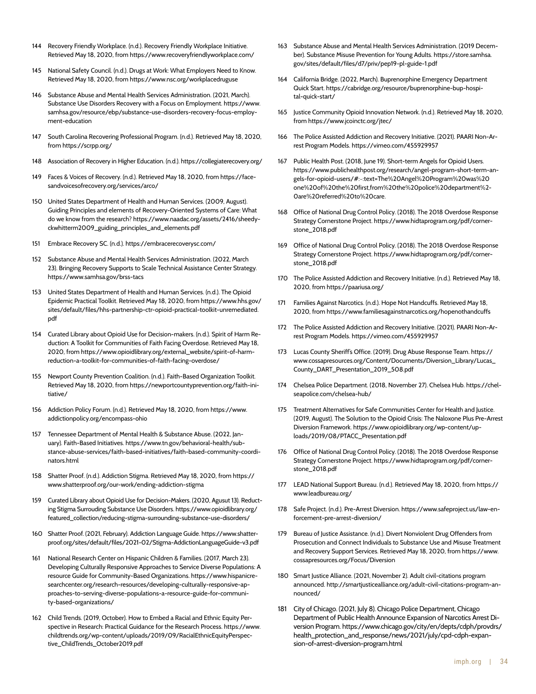- 144 Recovery Friendly Workplace. (n.d.). Recovery Friendly Workplace Initiative. Retrieved May 18, 2020, from https://www.recoveryfriendlyworkplace.com/
- 145 National Safety Council. (n.d.). Drugs at Work: What Employers Need to Know. Retrieved May 18, 2020, from https://www.nsc.org/workplacedruguse
- 146 Substance Abuse and Mental Health Services Administration. (2021, March). Substance Use Disorders Recovery with a Focus on Employment. https://www. samhsa.gov/resource/ebp/substance-use-disorders-recovery-focus-employment-education
- 147 South Carolina Recovering Professional Program. (n.d.). Retrieved May 18, 2020, from https://scrpp.org/
- 148 Association of Recovery in Higher Education. (n.d.). https://collegiaterecovery.org/
- 149 Faces & Voices of Recovery. (n.d.). Retrieved May 18, 2020, from https://facesandvoicesofrecovery.org/services/arco/
- 150 United States Department of Health and Human Services. (2009, August). Guiding Principles and elements of Recovery-Oriented Systems of Care: What do we know from the research? https://www.naadac.org/assets/2416/sheedyckwhitterm2009\_guiding\_principles\_and\_elements.pdf
- 151 Embrace Recovery SC. (n.d.). https://embracerecoverysc.com/
- 152 Substance Abuse and Mental Health Services Administration. (2022, March 23). Bringing Recovery Supports to Scale Technical Assistance Center Strategy. https://www.samhsa.gov/brss-tacs
- 153 United States Department of Health and Human Services. (n.d.). The Opioid Epidemic Practical Toolkit. Retrieved May 18, 2020, from https://www.hhs.gov/ sites/default/files/hhs-partnership-ctr-opioid-practical-toolkit-unremediated. pdf
- 154 Curated Library about Opioid Use for Decision-makers. (n.d.). Spirit of Harm Reduction: A Toolkit for Communities of Faith Facing Overdose. Retrieved May 18, 2020, from https://www.opioidlibrary.org/external\_website/spirit-of-harmreduction-a-toolkit-for-communities-of-faith-facing-overdose/
- 155 Newport County Prevention Coalition. (n.d.). Faith-Based Organization Toolkit. Retrieved May 18, 2020, from https://newportcountyprevention.org/faith-initiative/
- 156 Addiction Policy Forum. (n.d.). Retrieved May 18, 2020, from https://www. addictionpolicy.org/encompass-ohio
- 157 Tennessee Department of Mental Health & Substance Abuse. (2022, January). Faith-Based Initiatives. https://www.tn.gov/behavioral-health/substance-abuse-services/faith-based-initiatives/faith-based-community-coordinators.html
- 158 Shatter Proof. (n.d.). Addiction Stigma. Retrieved May 18, 2020, from https:// www.shatterproof.org/our-work/ending-addiction-stigma
- 159 Curated Library about Opioid Use for Decision-Makers. (2020, Agusut 13). Reducting Stigma Surrouding Substance Use Disorders. https://www.opioidlibrary.org/ featured\_collection/reducing-stigma-surrounding-substance-use-disorders/
- 160 Shatter Proof. (2021, February). Addiction Language Guide. https://www.shatterproof.org/sites/default/files/2021-02/Stigma-AddictionLanguageGuide-v3.pdf
- 161 National Research Center on Hispanic Children & Families. (2017, March 23). Developing Culturally Responsive Approaches to Service Diverse Populations: A resource Guide for Community-Based Organizations. https://www.hispanicresearchcenter.org/research-resources/developing-culturally-responsive-approaches-to-serving-diverse-populations-a-resource-guide-for-community-based-organizations/
- 162 Child Trends. (2019, October). How to Embed a Racial and Ethnic Equity Perspective in Research: Practical Guidance for the Research Process. https://www. childtrends.org/wp-content/uploads/2019/09/RacialEthnicEquityPerspective\_ChildTrends\_October2019.pdf
- 163 Substance Abuse and Mental Health Services Administration. (2019 December). Substance Misuse Prevention for Young Adults. https://store.samhsa. gov/sites/default/files/d7/priv/pep19-pl-guide-1.pdf
- 164 California Bridge. (2022, March). Buprenorphine Emergency Department Quick Start. https://cabridge.org/resource/buprenorphine-bup-hospital-quick-start/
- 165 Justice Community Opioid Innovation Network. (n.d.). Retrieved May 18, 2020, from https://www.jcoinctc.org/jtec/
- 166 The Police Assisted Addiction and Recovery Initiative. (2021). PAARI Non-Arrest Program Models. https://vimeo.com/455929957
- 167 Public Health Post. (2018, June 19). Short-term Angels for Opioid Users. https://www.publichealthpost.org/research/angel-program-short-term-angels-for-opioid-users/#:~:text=The%20Angel%20Program%20was%20 one%20of%20the%20first,from%20the%20police%20department%2- 0are%20referred%20to%20care.
- 168 Office of National Drug Control Policy. (2018). The 2018 Overdose Response Strategy Cornerstone Project. https://www.hidtaprogram.org/pdf/cornerstone\_2018.pdf
- 169 Office of National Drug Control Policy. (2018). The 2018 Overdose Response Strategy Cornerstone Project. https://www.hidtaprogram.org/pdf/cornerstone\_2018.pdf
- 170 The Police Assisted Addiction and Recovery Initiative. (n.d.). Retrieved May 18, 2020, from https://paariusa.org/
- 171 Families Against Narcotics. (n.d.). Hope Not Handcuffs. Retrieved May 18, 2020, from https://www.familiesagainstnarcotics.org/hopenothandcuffs
- 172 The Police Assisted Addiction and Recovery Initiative. (2021). PAARI Non-Arrest Program Models. https://vimeo.com/455929957
- 173 Lucas County Sheriff's Office. (2019). Drug Abuse Response Team. https:// www.cossapresources.org/Content/Documents/Diversion\_Library/Lucas\_ County\_DART\_Presentation\_2019\_508.pdf
- 174 Chelsea Police Department. (2018, November 27). Chelsea Hub. https://chelseapolice.com/chelsea-hub/
- 175 Treatment Alternatives for Safe Communities Center for Health and Justice. (2019, August). The Solution to the Opioid Crisis: The Naloxone Plus Pre-Arrest Diversion Framework. https://www.opioidlibrary.org/wp-content/uploads/2019/08/PTACC\_Presentation.pdf
- 176 Office of National Drug Control Policy. (2018). The 2018 Overdose Response Strategy Cornerstone Project. https://www.hidtaprogram.org/pdf/cornerstone\_2018.pdf
- 177 LEAD National Support Bureau. (n.d.). Retrieved May 18, 2020, from https:// www.leadbureau.org/
- 178 Safe Project. (n.d.). Pre-Arrest Diversion. https://www.safeproject.us/law-enforcement-pre-arrest-diversion/
- 179 Bureau of Justice Assistance. (n.d.). Divert Nonviolent Drug Offenders from Prosecution and Connect Individuals to Substance Use and Misuse Treatment and Recovery Support Services. Retrieved May 18, 2020, from https://www. cossapresources.org/Focus/Diversion
- 180 Smart Justice Alliance. (2021, November 2). Adult civil-citations program announced. http://smartjusticealliance.org/adult-civil-citations-program-announced/
- 181 City of Chicago. (2021, July 8). Chicago Police Department, Chicago Department of Public Health Announce Expansion of Narcotics Arrest Diversion Program. https://www.chicago.gov/city/en/depts/cdph/provdrs/ health\_protection\_and\_response/news/2021/july/cpd-cdph-expansion-of-arrest-diversion-program.html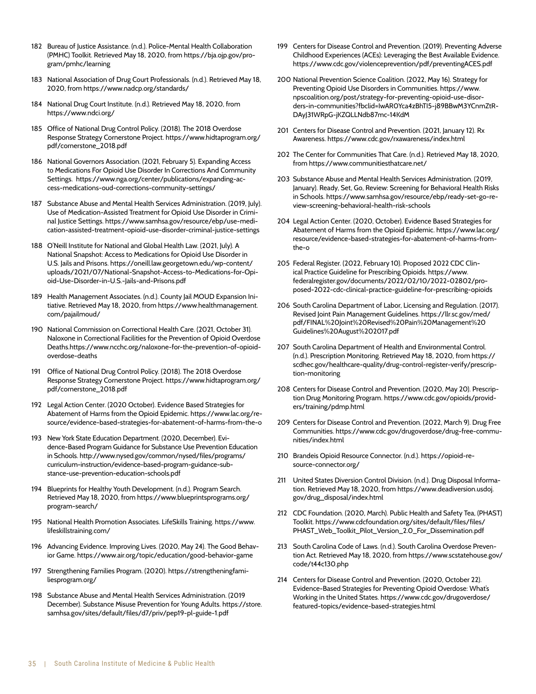- 182 Bureau of Justice Assistance. (n.d.). Police-Mental Health Collaboration (PMHC) Toolkit. Retrieved May 18, 2020, from https://bja.ojp.gov/program/pmhc/learning
- 183 National Association of Drug Court Professionals. (n.d.). Retrieved May 18, 2020, from https://www.nadcp.org/standards/
- 184 National Drug Court Institute. (n.d.). Retrieved May 18, 2020, from https://www.ndci.org/
- 185 Office of National Drug Control Policy. (2018). The 2018 Overdose Response Strategy Cornerstone Project. https://www.hidtaprogram.org/ pdf/cornerstone\_2018.pdf
- 186 National Governors Association. (2021, February 5). Expanding Access to Medications For Opioid Use Disorder In Corrections And Community Settings. https://www.nga.org/center/publications/expanding-access-medications-oud-corrections-community-settings/
- 187 Substance Abuse and Mental Health Services Administration. (2019, July). Use of Medication-Assisted Treatment for Opioid Use Disorder in Criminal Justice Settings. https://www.samhsa.gov/resource/ebp/use-medication-assisted-treatment-opioid-use-disorder-criminal-justice-settings
- 188 O'Neill Institute for National and Global Health Law. (2021, July). A National Snapshot: Access to Medications for Opioid Use Disorder in U.S. Jails and Prisons. https://oneill.law.georgetown.edu/wp-content/ uploads/2021/07/National-Snapshot-Access-to-Medications-for-Opioid-Use-Disorder-in-U.S.-Jails-and-Prisons.pdf
- 189 Health Management Associates. (n.d.). County Jail MOUD Expansion Initiative. Retrieved May 18, 2020, from https://www.healthmanagement. com/pajailmoud/
- 190 National Commission on Correctional Health Care. (2021, October 31). Naloxone in Correctional Facilities for the Prevention of Opioid Overdose Deaths.https://www.ncchc.org/naloxone-for-the-prevention-of-opioidoverdose-deaths
- 191 Office of National Drug Control Policy. (2018). The 2018 Overdose Response Strategy Cornerstone Project. https://www.hidtaprogram.org/ pdf/cornerstone\_2018.pdf
- 192 Legal Action Center. (2020 October). Evidence Based Strategies for Abatement of Harms from the Opioid Epidemic. https://www.lac.org/resource/evidence-based-strategies-for-abatement-of-harms-from-the-o
- 193 New York State Education Department. (2020, December). Evidence-Based Program Guidance for Substance Use Prevention Education in Schools. http://www.nysed.gov/common/nysed/files/programs/ curriculum-instruction/evidence-based-program-guidance-substance-use-prevention-education-schools.pdf
- 194 Blueprints for Healthy Youth Development. (n.d.). Program Search. Retrieved May 18, 2020, from https://www.blueprintsprograms.org/ program-search/
- 195 National Health Promotion Associates. LifeSkills Training. https://www. lifeskillstraining.com/
- 196 Advancing Evidence. Improving Lives. (2020, May 24). The Good Behavior Game. https://www.air.org/topic/education/good-behavior-game
- 197 Strengthening Families Program. (2020). https://strengtheningfamiliesprogram.org/
- 198 Substance Abuse and Mental Health Services Administration. (2019 December). Substance Misuse Prevention for Young Adults. https://store. samhsa.gov/sites/default/files/d7/priv/pep19-pl-guide-1.pdf
- 199 Centers for Disease Control and Prevention. (2019). Preventing Adverse Childhood Experiences (ACEs): Leveraging the Best Available Evidence. https://www.cdc.gov/violenceprevention/pdf/preventingACES.pdf
- 200 National Prevention Science Coalition. (2022, May 16). Strategy for Preventing Opioid Use Disorders in Communities. https://www. npscoalition.org/post/strategy-for-preventing-opioid-use-disorders-in-communities?fbclid=IwAR0Yca4zBhTI5-j89BBwM3YCnmZtR-DAyJ31WRpG-jKZQLLNdb87mc-14KdM
- 201 Centers for Disease Control and Prevention. (2021, January 12). Rx Awareness. https://www.cdc.gov/rxawareness/index.html
- 202 The Center for Communities That Care. (n.d.). Retrieved May 18, 2020, from https://www.communitiesthatcare.net/
- 203 Substance Abuse and Mental Health Services Administration. (2019, January). Ready, Set, Go, Review: Screening for Behavioral Health Risks in Schools. https://www.samhsa.gov/resource/ebp/ready-set-go-review-screening-behavioral-health-risk-schools
- 204 Legal Action Center. (2020, October). Evidence Based Strategies for Abatement of Harms from the Opioid Epidemic. https://www.lac.org/ resource/evidence-based-strategies-for-abatement-of-harms-fromthe-o
- 205 Federal Register. (2022, February 10). Proposed 2022 CDC Clinical Practice Guideline for Prescribing Opioids. https://www. federalregister.gov/documents/2022/02/10/2022-02802/proposed-2022-cdc-clinical-practice-guideline-for-prescribing-opioids
- 206 South Carolina Department of Labor, Licensing and Regulation. (2017). Revised Joint Pain Management Guidelines. https://llr.sc.gov/med/ pdf/FINAL%20Joint%20Revised%20Pain%20Management%20 Guidelines%20August%202017.pdf
- 207 South Carolina Department of Health and Environmental Control. (n.d.). Prescription Monitoring. Retrieved May 18, 2020, from https:// scdhec.gov/healthcare-quality/drug-control-register-verify/prescription-monitoring
- 208 Centers for Disease Control and Prevention. (2020, May 20). Prescription Drug Monitoring Program. https://www.cdc.gov/opioids/providers/training/pdmp.html
- 209 Centers for Disease Control and Prevention. (2022, March 9). Drug Free Communities. https://www.cdc.gov/drugoverdose/drug-free-communities/index.html
- 210 Brandeis Opioid Resource Connector. (n.d.). https://opioid-resource-connector.org/
- 211 United States Diversion Control Division. (n.d.). Drug Disposal Information. Retrieved May 18, 2020, from https://www.deadiversion.usdoj. gov/drug\_disposal/index.html
- 212 CDC Foundation. (2020, March). Public Health and Safety Tea, (PHAST) Toolkit. https://www.cdcfoundation.org/sites/default/files/files/ PHAST\_Web\_Toolkit\_Pilot\_Version\_2.0\_For\_Dissemination.pdf
- 213 South Carolina Code of Laws. (n.d.). South Carolina Overdose Prevention Act. Retrieved May 18, 2020, from https://www.scstatehouse.gov/ code/t44c130.php
- 214 Centers for Disease Control and Prevention. (2020, October 22). Evidence-Based Strategies for Preventing Opioid Overdose: What's Working in the United States. https://www.cdc.gov/drugoverdose/ featured-topics/evidence-based-strategies.html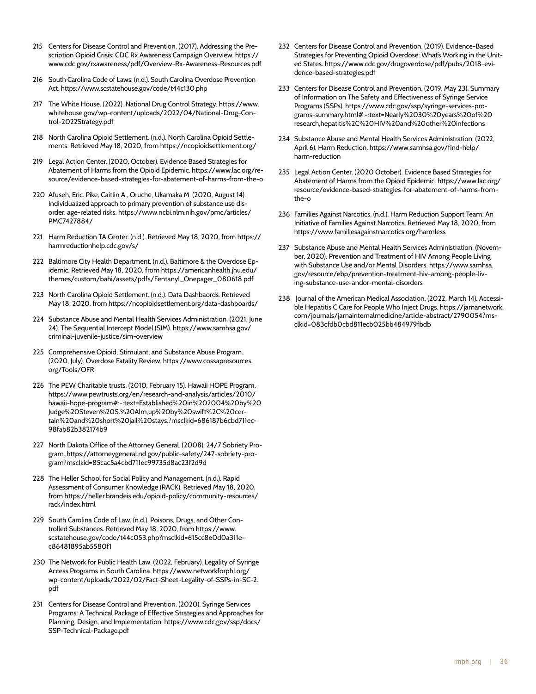- 215 Centers for Disease Control and Prevention. (2017). Addressing the Prescription Opioid Crisis: CDC Rx Awareness Campaign Overview. https:// www.cdc.gov/rxawareness/pdf/Overview-Rx-Awareness-Resources.pdf
- 216 South Carolina Code of Laws. (n.d.). South Carolina Overdose Prevention Act. https://www.scstatehouse.gov/code/t44c130.php
- 217 The White House. (2022). National Drug Control Strategy. https://www. whitehouse.gov/wp-content/uploads/2022/04/National-Drug-Control-2022Strategy.pdf
- 218 North Carolina Opioid Settlement. (n.d.). North Carolina Opioid Settlements. Retrieved May 18, 2020, from https://ncopioidsettlement.org/
- 219 Legal Action Center. (2020, October). Evidence Based Strategies for Abatement of Harms from the Opioid Epidemic. https://www.lac.org/resource/evidence-based-strategies-for-abatement-of-harms-from-the-o
- 220 Afuseh, Eric. Pike, Caitlin A., Oruche, Ukamaka M. (2020, August 14). Individualized approach to primary prevention of substance use disorder: age-related risks. https://www.ncbi.nlm.nih.gov/pmc/articles/ PMC7427884/
- 221 Harm Reduction TA Center. (n.d.). Retrieved May 18, 2020, from https:// harmreductionhelp.cdc.gov/s/
- 222 Baltimore City Health Department. (n.d.). Baltimore & the Overdose Epidemic. Retrieved May 18, 2020, from https://americanhealth.jhu.edu/ themes/custom/bahi/assets/pdfs/Fentanyl\_Onepager\_080618.pdf
- 223 North Carolina Opioid Settlement. (n.d.). Data Dashbaords. Retrieved May 18, 2020, from https://ncopioidsettlement.org/data-dashboards/
- 224 Substance Abuse and Mental Health Services Administration. (2021, June 24). The Sequential Intercept Model (SIM). https://www.samhsa.gov/ criminal-juvenile-justice/sim-overview
- 225 Comprehensive Opioid, Stimulant, and Substance Abuse Program. (2020, July). Overdose Fatality Review. https://www.cossapresources. org/Tools/OFR
- 226 The PEW Charitable trusts. (2010, February 15). Hawaii HOPE Program. https://www.pewtrusts.org/en/research-and-analysis/articles/2010/ hawaii-hope-program#:~:text=Established%20in%202004%20by%20 Judge%20Steven%20S.%20Alm,up%20by%20swift%2C%20certain%20and%20short%20jail%20stays.?msclkid=686187b6cbd711ec-98fab82b382174b9
- 227 North Dakota Office of the Attorney General. (2008). 24/7 Sobriety Program. https://attorneygeneral.nd.gov/public-safety/247-sobriety-program?msclkid=85cac5a4cbd711ec99735d8ac23f2d9d
- 228 The Heller School for Social Policy and Management. (n.d.). Rapid Assessment of Consumer Knowledge (RACK). Retrieved May 18, 2020, from https://heller.brandeis.edu/opioid-policy/community-resources/ rack/index.html
- 229 South Carolina Code of Law. (n.d.). Poisons, Drugs, and Other Controlled Substances. Retrieved May 18, 2020, from https://www. scstatehouse.gov/code/t44c053.php?msclkid=615cc8e0d0a311ec86481895ab5580f1
- 230 The Network for Public Health Law. (2022, February). Legality of Syringe Access Programs in South Carolina. https://www.networkforphl.org/ wp-content/uploads/2022/02/Fact-Sheet-Legality-of-SSPs-in-SC-2. pdf
- 231 Centers for Disease Control and Prevention. (2020). Syringe Services Programs: A Technical Package of Effective Strategies and Approaches for Planning, Design, and Implementation. https://www.cdc.gov/ssp/docs/ SSP-Technical-Package.pdf
- 232 Centers for Disease Control and Prevention. (2019). Evidence-Based Strategies for Preventing Opioid Overdose: What's Working in the United States. https://www.cdc.gov/drugoverdose/pdf/pubs/2018-evidence-based-strategies.pdf
- 233 Centers for Disease Control and Prevention. (2019, May 23). Summary of Information on The Safety and Effectiveness of Syringe Service Programs (SSPs). https://www.cdc.gov/ssp/syringe-services-programs-summary.html#:~:text=Nearly%2030%20years%20of%20 research,hepatitis%2C%20HIV%20and%20other%20infections
- 234 Substance Abuse and Mental Health Services Administration. (2022, April 6). Harm Reduction. https://www.samhsa.gov/find-help/ harm-reduction
- 235 Legal Action Center. (2020 October). Evidence Based Strategies for Abatement of Harms from the Opioid Epidemic. https://www.lac.org/ resource/evidence-based-strategies-for-abatement-of-harms-fromthe-o
- 236 Families Against Narcotics. (n.d.). Harm Reduction Support Team: An Initiative of Families Against Narcotics. Retrieved May 18, 2020, from https://www.familiesagainstnarcotics.org/harmless
- 237 Substance Abuse and Mental Health Services Administration. (November, 2020). Prevention and Treatment of HIV Among People Living with Substance Use and/or Mental Disorders. https://www.samhsa. gov/resource/ebp/prevention-treatment-hiv-among-people-living-substance-use-andor-mental-disorders
- 238 Journal of the American Medical Association. (2022, March 14). Accessible Hepatitis C Care for People Who Inject Drugs. https://jamanetwork. com/journals/jamainternalmedicine/article-abstract/2790054?msclkid=083cfdb0cbd811ecb025bb484979fbdb